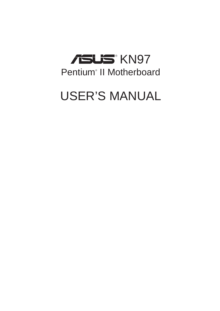

# USER'S MANUAL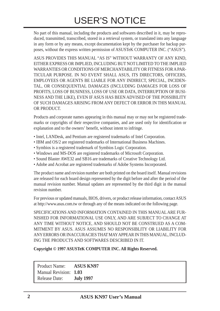# USER'S NOTICE

No part of this manual, including the products and softwares described in it, may be reproduced, transmitted, transcribed, stored in a retrieval system, or translated into any language in any form or by any means, except documentation kept by the purchaser for backup purposes, without the express written permission of ASUSTeK COMPUTER INC. ("ASUS").

ASUS PROVIDES THIS MANUAL "AS IS" WITHOUT WARRANTY OF ANY KIND, EITHER EXPRESS OR IMPLIED, INCLUDING BUT NOT LIMITED TO THE IMPLIED WARRANTIES OR CONDITIONS OF MERCHANTABILITY OR FITNESS FOR A PAR-TICULAR PURPOSE. IN NO EVENT SHALL ASUS, ITS DIRECTORS, OFFICERS, EMPLOYEES OR AGENTS BE LIABLE FOR ANY INDIRECT, SPECIAL, INCIDEN-TAL, OR CONSEQUENTIAL DAMAGES (INCLUDING DAMAGES FOR LOSS OF PROFITS, LOSS OF BUSINESS, LOSS OF USE OR DATA, INTERRUPTION OF BUSI-NESS AND THE LIKE), EVEN IF ASUS HAS BEEN ADVISED OF THE POSSIBILITY OF SUCH DAMAGES ARISING FROM ANY DEFECT OR ERROR IN THIS MANUAL OR PRODUCT.

Products and corporate names appearing in this manual may or may not be registered trademarks or copyrights of their respective companies, and are used only for identification or explanation and to the owners' benefit, without intent to infringe.

- Intel, LANDesk, and Pentium are registered trademarks of Intel Corporation.
- IBM and OS/2 are registered trademarks of International Business Machines.
- Symbios is a registered trademark of Symbios Logic Corporation.
- Windows and MS-DOS are registered trademarks of Microsoft Corporation.
- Sound Blaster AWE32 and SB16 are trademarks of Creative Technology Ltd.
- Adobe and Acrobat are registered trademarks of Adobe Systems Incorporated.

The product name and revision number are both printed on the board itself. Manual revisions are released for each board design represented by the digit before and after the period of the manual revision number. Manual updates are represented by the third digit in the manual revision number.

For previous or updated manuals, BIOS, drivers, or product release information, contact ASUS at http://www.asus.com.tw or through any of the means indicated on the following page.

SPECIFICATIONS AND INFORMATION CONTAINED IN THIS MANUAL ARE FUR-NISHED FOR INFORMATIONAL USE ONLY, AND ARE SUBJECT TO CHANGE AT ANY TIME WITHOUT NOTICE, AND SHOULD NOT BE CONSTRUED AS A COM-MITMENT BY ASUS. ASUS ASSUMES NO RESPONSIBLITY OR LIABILITY FOR ANY ERRORS OR INACCURACIES THAT MAY APPEAR IN THIS MANUAL, INCLUD-ING THE PRODUCTS AND SOFTWARES DESCRIBED IN IT.

**Copyright © 1997 ASUSTeK COMPUTER INC. All Rights Reserved.**

| <b>Product Name:</b>  | <b>ASUS KN97</b> |
|-----------------------|------------------|
| Manual Revision: 1.03 |                  |
| <b>Release Date:</b>  | <b>July 1997</b> |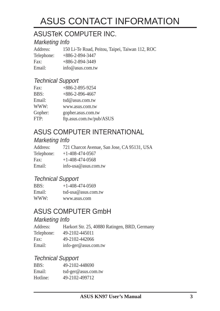# ASUS CONTACT INFORMATION

## ASUSTeK COMPUTER INC.

### Marketing Info

Address: 150 Li-Te Road, Peitou, Taipei, Taiwan 112, ROC Telephone: +886-2-894-3447 Fax: +886-2-894-3449 Email: info@asus.com.tw

### Technical Support

| Fax:    | $+886 - 2 - 895 - 9254$  |
|---------|--------------------------|
| BBS:    | $+886-2-896-4667$        |
| Email:  | tsd@asus.com.tw          |
| WWW:    | www.asus.com.tw          |
| Gopher: | gopher.asus.com.tw       |
| FTP:    | ftp.asus.com.tw/pub/ASUS |

## ASUS COMPUTER INTERNATIONAL

## Marketing Info

| Address:   | 721 Charcot Avenue, San Jose, CA 95131, USA |
|------------|---------------------------------------------|
| Telephone: | $+1-408-474-0567$                           |
| Fax:       | $+1-408-474-0568$                           |
| Email:     | info-usa@asus.com.tw                        |
|            |                                             |

### Technical Support

| BBS:   | $+1 - 408 - 474 - 0569$ |
|--------|-------------------------|
| Email: | $tsd-usa@assus.com.tw$  |
| WWW:   | www.asus.com            |

## ASUS COMPUTER GmbH

### Marketing Info

| Address:   | Harkort Str. 25, 40880 Ratingen, BRD, Germany |
|------------|-----------------------------------------------|
| Telephone: | 49-2102-445011                                |
| Fax:       | 49-2102-442066                                |
| Email:     | info-ger@asus.com.tw                          |

### Technical Support

| BBS:     | 49-2102-448690      |
|----------|---------------------|
| Email:   | tsd-ger@asus.com.tw |
| Hotline: | 49-2102-499712      |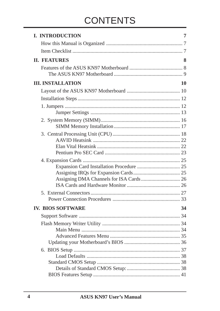# **CONTENTS**

| <b>I. INTRODUCTION</b>                   | 7  |
|------------------------------------------|----|
|                                          |    |
|                                          |    |
| <b>II. FEATURES</b>                      | 8  |
|                                          |    |
| <b>III. INSTALLATION</b>                 | 10 |
|                                          |    |
|                                          |    |
|                                          |    |
|                                          |    |
|                                          |    |
|                                          |    |
|                                          |    |
|                                          |    |
| Assigning DMA Channels for ISA Cards  26 |    |
|                                          |    |
|                                          | 33 |
| <b>IV. BIOS SOFTWARE</b>                 | 34 |
|                                          |    |
|                                          |    |
|                                          |    |
|                                          |    |
|                                          |    |
|                                          |    |
|                                          |    |
|                                          |    |
|                                          |    |
|                                          |    |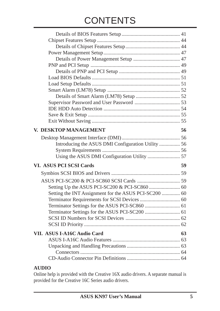# **CONTENTS**

| V. DESKTOP MANAGEMENT          | 56 |
|--------------------------------|----|
|                                |    |
|                                |    |
|                                |    |
|                                |    |
| <b>VI. ASUS PCI SCSI Cards</b> | 59 |
|                                |    |
|                                |    |
|                                |    |
|                                |    |
|                                |    |
|                                |    |
|                                |    |
|                                |    |
|                                |    |
|                                |    |
| VII. ASUS I-A16C Audio Card    | 63 |
|                                |    |
|                                |    |
|                                |    |
|                                |    |

#### **AUDIO**

Online help is provided with the Creative 16X audio drivers. A separate manual is provided for the Creative 16C Series audio drivers.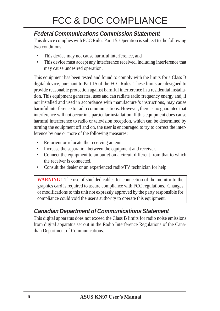## **Federal Communications Commission Statement**

This device complies with FCC Rules Part 15. Operation is subject to the following two conditions:

- This device may not cause harmful interference, and
- This device must accept any interference received, including interference that may cause undesired operation.

This equipment has been tested and found to comply with the limits for a Class B digital device, pursuant to Part 15 of the FCC Rules. These limits are designed to provide reasonable protection against harmful interference in a residential installation. This equipment generates, uses and can radiate radio frequency energy and, if not installed and used in accordance with manufacturer's instructions, may cause harmful interference to radio communications. However, there is no guarantee that interference will not occur in a particular installation. If this equipment does cause harmful interference to radio or television reception, which can be determined by turning the equipment off and on, the user is encouraged to try to correct the interference by one or more of the following measures:

- Re-orient or relocate the receiving antenna.
- Increase the separation between the equipment and receiver.
- Connect the equipment to an outlet on a circuit different from that to which the receiver is connected.
- Consult the dealer or an experienced radio/TV technician for help.

**WARNING!** The use of shielded cables for connection of the monitor to the graphics card is required to assure compliance with FCC regulations. Changes or modifications to this unit not expressly approved by the party responsible for compliance could void the user's authority to operate this equipment.

## **Canadian Department of Communications Statement**

This digital apparatus does not exceed the Class B limits for radio noise emissions from digital apparatus set out in the Radio Interference Regulations of the Canadian Department of Communications.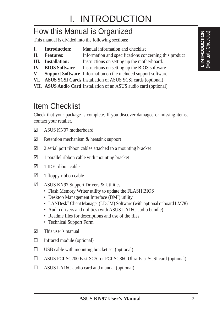## How this Manual is Organized

This manual is divided into the following sections:

- **I. Introduction:** Manual information and checklist
- **II.** Features: Information and specifications concerning this product
- **III.** Installation: Instructions on setting up the motherboard.
- **IV.** BIOS Software Instructions on setting up the BIOS software
- **V. Support Software** Information on the included support software
- **VI. ASUS SCSI Cards** Installation of ASUS SCSI cards (optional)
- **VII. ASUS Audio Card** Installation of an ASUS audio card (optional)

# Item Checklist

Check that your package is complete. If you discover damaged or missing items, contact your retailer.

- $\nabla$  ASUS KN97 motherboard
- $\boxtimes$  Retention mechanism & heatsink support
- $\boxtimes$  2 serial port ribbon cables attached to a mounting bracket
- $\boxtimes$  1 parallel ribbon cable with mounting bracket
- $\boxtimes$  1 IDE ribbon cable
- $\boxtimes$  1 floppy ribbon cable
- $\boxtimes$  ASUS KN97 Support Drivers & Utilities
	- Flash Memory Writer utility to update the FLASH BIOS
	- Desktop Management Interface (DMI) utility
	- LANDesk<sup>®</sup> Client Manager (LDCM) Software (with optional onboard LM78)
	- Audio drivers and utilities (with ASUS I-A16C audio bundle)
	- Readme files for descriptions and use of the files
	- Technical Support Form
- $\nabla$  This user's manual
- $\square$  Infrared module (optional)
- $\square$  USB cable with mounting bracket set (optional)
- □ ASUS PCI-SC200 Fast-SCSI or PCI-SC860 Ultra-Fast SCSI card (optional)
- $\Box$  ASUS I-A16C audio card and manual (optional)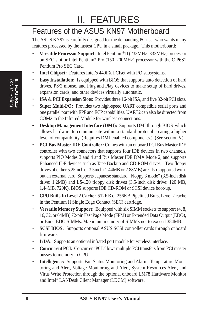# II. FEATURES

# Features of the ASUS KN97 Motherboard

The ASUS KN97 is carefully designed for the demanding PC user who wants many features processed by the fastest CPU in a small package. This motherboard:

- **Versatile Processor Support:** Intel Pentium® II (233MHz–333MHz) processor on SEC slot or Intel Pentium® Pro (150–200MHz) processor with the C-P6S1 Pentium Pro SEC Card.
- **Intel Chipset:** Features Intel's 440FX PCIset with I/O subsystems.
- **Easy Installation:** Is equipped with BIOS that supports auto detection of hard drives, PS/2 mouse, and Plug and Play devices to make setup of hard drives, expansion cards, and other devices virtually automatic.
- **ISA & PCI Expansion Slots:** Provides three 16-bit ISA, and five 32-bit PCI slots.
- **Super Multi-I/O:** Provides two high-speed UART compatible serial ports and one parallel port with EPP and ECP capabilities. UART2 can also be directed from COM2 to the Infrared Module for wireless connections.
- **Desktop Management Interface (DMI):** Supports DMI through BIOS which allows hardware to communicate within a standard protocol creating a higher level of compatibility. (Requires DMI-enabled components.) (See section V)
- **PCI Bus Master IDE Controller:** Comes with an onboard PCI Bus Master IDE controller with two connectors that supports four IDE devices in two channels, supports PIO Modes 3 and 4 and Bus Master IDE DMA Mode 2, and supports Enhanced IDE devices such as Tape Backup and CD-ROM drives. Two floppy drives of either 5.25inch or 3.5inch (1.44MB or 2.88MB) are also supported without an external card. Supports Japanese standard "Floppy 3 mode" (3.5-inch disk drive: 1.2MB) and LS-120 floppy disk drives (3.5-inch disk drive: 120 MB, 1.44MB, 720K). BIOS supports IDE CD-ROM or SCSI device boot-up.
- **CPU Built-In Level 2 Cache:** 512KB or 256KB Pipelined Burst Level 2 cache in the Pentium II Single Edge Contact (SEC) cartridge.
- **Versatile Memory Support:** Equipped with six SIMM sockets to support (4, 8, 16, 32, or 64MB) 72-pin Fast Page Mode (FPM) or Extended Data Output (EDO), or Burst EDO SIMMs. Maximum memory of SIMMs not to exceed 384MB.
- **SCSI BIOS:** Supports optional ASUS SCSI controller cards through onboard firmware.
- **IrDA:** Supports an optional infrared port module for wireless interface.
- **Concurrent PCI:** Concurrent PCI allows multiple PCI transfers from PCI master busses to memory to CPU.
- **Intelligence:** Supports Fan Status Monitoring and Alarm, Temperature Monitoring and Alert, Voltage Monitoring and Alert, System Resources Alert, and Virus Write Protection through the optional onboard LM78 Hardware Monitor and Intel® LANDesk Client Manager (LDCM) software.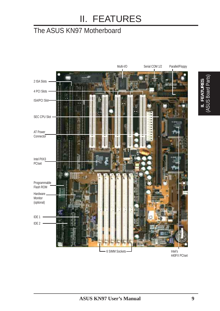# II. FEATURES

## The ASUS KN97 Motherboard



440FX PCIset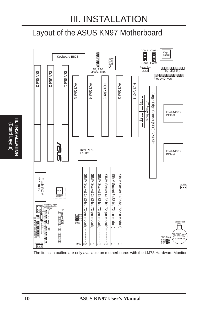## Layout of the ASUS KN97 Motherboard



The items in outline are only available on motherboards with the LM78 Hardware Monitor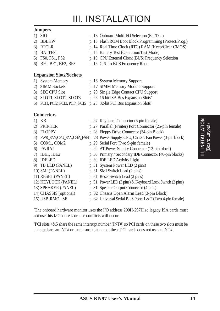#### **Jumpers**

- 
- 
- 
- 
- 
- 
- **Expansion Slots/Sockets**
- 
- 
- 
- 
- 
- 1) SIO p. 13 Onboard Multi-I/O Selection (En./Dis.)
- 2) BBLKW p. 13 Flash ROM Boot Block Programming (Protect/Prog.)
- 3) RTCLR p. 14 Real Time Clock (RTC) RAM (Keep/Clear CMOS)
- 4) BATTEST p. 14 Battery Test (Operation/Test Mode)
- 5) FS0, FS1, FS2 p. 15 CPU External Clock (BUS) Frequency Selection
- 6) BF0, BF1, BF2, BF3 p. 15 CPU to BUS Frequency Ratio
- 1) System Memory p. 16 System Memory Support
- 2) SIMM Sockets p. 17 SIMM Memory Module Support
- 3) SEC CPU Slot p. 20 Single Edge Contact CPU Support
- 4) SLOT1, SLOT2, SLOT3 p. 25 16-bit ISA Bus Expansion Slots**\***
- 5) PCI1, PCI2, PCI3, PCI4, PCI5 p. 25 32-bit PCI Bus Expansion Slots†

#### **Connectors**

- 1) KB p. 27 Keyboard Connector (5-pin female)
- 2) PRINTER p. 27 Parallel (Printer) Port Connector (25-pin female)
	-
- 3) FLOPPY p. 28 Floppy Drive Connector (34-pin Block)
- 4) PWR\_FAN, CPU\_FAN, CHA\_FANp. 28 Power Supply, CPU, Chassis Fan Power (3-pin block)
- 5) COM1, COM2 p. 29 Serial Port (Two 9-pin female)
- 6) PWRAT p. 29 AT Power Supply Connector (12-pin block)
- 7) IDE1, IDE2 p. 30 Primary / Secondary IDE Connector (40-pin blocks)
- 8) IDELED p. 30 IDE LED Activity Light
- 9) TB LED (PANEL) p. 31 System Power LED (2 pins)
- 10) SMI (PANEL) p. 31 SMI Switch Lead (2 pins)
- 11) RESET (PANEL) p. 31 Reset Switch Lead (2 pins)
- 12) KEYLOCK (PANEL) p. 31 Power LED (3 pins) & Keyboard Lock Switch (2 pins)
- 13) SPEAKER (PANEL) p. 31 Speaker Output Connector (4 pins)
- 14) CHASSIS (optional) p. 32 Chassis Open Alarm Lead (3-pin Block)
- 15) USBIRMOUSE p. 32 Universal Serial BUS Ports 1 & 2 (Two 4-pin female)

\* The onboard hardware monitor uses the I/O address 290H-297H so legacy ISA cards must not use this I/O address or else conflicts will occur.

† PCI slots 4&5 share the same interrupt number (INT#) so PCI cards on these two slots must be able to share an INT# or make sure that one of these PCI cards does not use an INT#.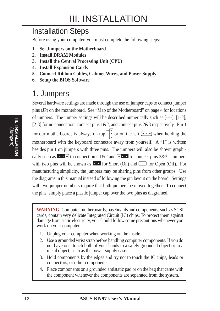## Installation Steps

Before using your computer, you must complete the following steps:

- **1. Set Jumpers on the Motherboard**
- **2. Install DRAM Modules**
- **3. Install the Central Processing Unit (CPU)**
- **4. Install Expansion Cards**
- **5. Connect Ribbon Cables, Cabinet Wires, and Power Supply**
- **6. Setup the BIOS Software**

## 1. Jumpers

Several hardware settings are made through the use of jumper caps to connect jumper pins (JP) on the motherboard. See "Map of the Motherboard" on page 4 for locations of jumpers. The jumper settings will be described numerically such as [----], [1-2], [2-3] for no connection, connect pins 1&2, and connect pins 2&3 respectively. Pin 1 for our motherboards is always on top  $\int_{0}^{\ln}$  or on the left  $\frac{p_{n+1}}{p_{n-1}}$  when holding the motherboard with the keyboard connector away from yourself. A "1" is written besides pin 1 on jumpers with three pins. The jumpers will also be shown graphically such as  $\bullet \bullet \bullet$  to connect pins  $1\&2$  and  $\bullet \bullet \bullet$  to connect pins  $2\&3$ . Jumpers with two pins will be shown as **For** Short (On) and **For** Short Open (Off). For manufacturing simplicity, the jumpers may be sharing pins from other groups. Use the diagrams in this manual instead of following the pin layout on the board. Settings with two jumper numbers require that both jumpers be moved together. To connect the pins, simply place a plastic jumper cap over the two pins as diagramed.

**WARNING!** Computer motherboards, baseboards and components, such as SCSI cards, contain very delicate Integrated Circuit (IC) chips. To protect them against damage from static electricity, you should follow some precautions whenever you work on your computer.

- 1. Unplug your computer when working on the inside.
- 2. Use a grounded wrist strap before handling computer components. If you do not have one, touch both of your hands to a safely grounded object or to a metal object, such as the power supply case.
- 3. Hold components by the edges and try not to touch the IC chips, leads or connectors, or other components.
- 4. Place components on a grounded antistatic pad or on the bag that came with the component whenever the components are separated from the system.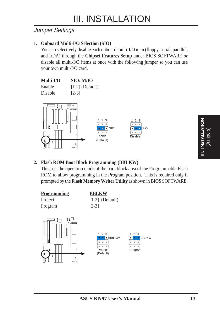### Jumper Settings

#### **1. Onboard Multi-I/O Selection (SIO)**

You can selectively disable each onboard multi-I/O item (floppy, serial, parallel, and IrDA) through the **Chipset Features Setup** under BIOS SOFTWARE *or* disable all multi-I/O items at once with the following jumper so you can use your own multi-I/O card.





#### **2. Flash ROM Boot Block Programming (BBLKW)**

This sets the operation mode of the boot block area of the Programmable Flash ROM to allow programming in the *Prog*ram position. This is required only if prompted by the **Flash Memory Writer Utility** as shown in BIOS SOFTWARE.



**III. INSTALLATION** (Jumpers)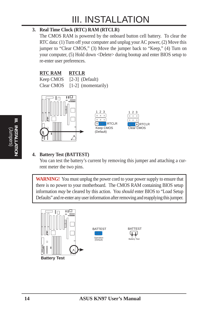#### **3. Real Time Clock (RTC) RAM (RTCLR)**

The CMOS RAM is powered by the onboard button cell battery. To clear the RTC data: (1) Turn off your computer and unplug your AC power, (2) Move this jumper to "Clear CMOS," (3) Move the jumper back to "Keep," (4) Turn on your computer, (5) Hold down <Delete> during bootup and enter BIOS setup to re-enter user preferences.

### **RTC RAM RTCLR**

Keep CMOS [2-3] (Default) Clear CMOS [1-2] (momentarily)





### **4. Battery Test (BATTEST)**

You can test the battery's current by removing this jumper and attaching a current meter the two pins.

**WARNING!** You must unplug the power cord to your power supply to ensure that there is no power to your motherboard. The CMOS RAM containing BIOS setup information *may* be cleared by this action. You *should* enter BIOS to "Load Setup Defaults" and re-enter any user information after removing and reapplying this jumper.



(Jumpers) **III. INSTALLATION**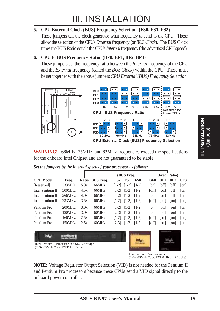#### **5. CPU External Clock (BUS) Frequency Selection (FS0, FS1, FS2)**

These jumpers tell the clock generator what frequency to send to the CPU. These allow the selection of the CPUs *External* frequency (or *BUS Clock*). The BUS Clock times the BUS Ratio equals the CPUs *Internal* frequency (the advertised CPU speed).

#### **6. CPU to BUS Frequency Ratio (BF0, BF1, BF2, BF3)**

These jumpers set the frequency ratio between the *Internal* frequency of the CPU and the *External* frequency (called the *BUS Clock*) within the CPU. These must be set together with the above jumpers *CPU External (BUS) Frequency Selection.*



**WARNING!** 68MHz, 75MHz, and 83MHz frequencies exceed the specifications for the onboard Intel Chipset and are not guaranteed to be stable.

|  |  |  | Set the jumpers by the internal speed of your processor as follows: |
|--|--|--|---------------------------------------------------------------------|
|  |  |  |                                                                     |

|                                                                                          |        |              |                  |                 | (BUS Freq.)             |            |            |        | (Freq. Ratio)   |      |
|------------------------------------------------------------------------------------------|--------|--------------|------------------|-----------------|-------------------------|------------|------------|--------|-----------------|------|
| <b>CPU Model</b>                                                                         | Freq.  | <b>Ratio</b> | <b>BUS Freq.</b> | FS <sub>2</sub> | FS1                     | <b>FS0</b> | <b>BF0</b> | BF1    | BF <sub>2</sub> | BF3  |
| [Reserved]                                                                               | 333MHz | 5.0x         | 66MHz            | $[1-2]$         | $[1-2]$                 | $[1-2]$    | [on]       | [off]  | [off]           | [on] |
| <b>Intel Pentium II</b>                                                                  | 300MHz | 4.5x         | 66MHz            | $[1-2]$         | $[1-2]$                 | $[1-2]$    | [off]      | on     | [off]           | [on] |
| Intel Pentium II                                                                         | 266MHz | 4.0x         | 66MHz            | $[1-2]$         | $[1-2]$                 | $[1-2]$    | on         | on     | [off]           | on   |
| Intel Pentium II                                                                         | 233MHz | 3.5x         | 66MHz            | $[1-2]$         | $[1-2]$ $[1-2]$         |            | [off]      | [off]  | on              | [on] |
| Pentium Pro                                                                              | 200MHz | 3.0x         | 66MHz            |                 | $[1-2]$ $[1-2]$ $[1-2]$ |            | on         | off    | on              | [on] |
| Pentium Pro                                                                              | 180MHz | 3.0x         | 60MHz            | $[2-3]$         | $[1-2]$                 | $11-21$    | lonl       | loff l | on              | on   |
| Pentium Pro                                                                              | 166MHz | 2.5x         | 66MHz            | $[1-2]$         | $[1-2]$                 | $[1-2]$    | [off]      | on     | on              | [on] |
| Pentium Pro                                                                              | 150MHz | 2.5x         | 60MHz            | $[2-3]$         | $[1-2]$ $[1-2]$         |            | [off]      | on     | on              | on   |
| inta<br>Intel Pentium II Processor in a SEC Cartridge<br>(233-333MHz 256/512KB L2 Cache) |        |              |                  |                 |                         |            |            |        |                 |      |

Intel Pentium Pro Processor (150-200MHz 256/512/1,024KB L2 Cache)

**NOTE:** Voltage Regulator Output Selection (VID) is not needed for the Pentium II and Pentium Pro processors because these CPUs send a VID signal directly to the onboard power controller.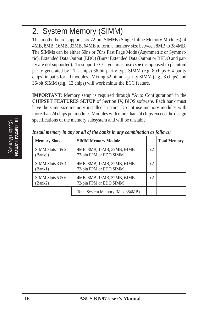# 2. System Memory (SIMM)

This motherboard supports six 72-pin SIMMs (Single Inline Memory Modules) of 4MB, 8MB, 16MB, 32MB, 64MB to form a memory size between 8MB to 384MB. The SIMMs can be either 60ns or 70ns Fast Page Mode (Asymmetric or Symmetric), Extended Data Output (EDO) (Burst Extended Data Output or BEDO and parity are not supported). To support ECC, you must use *true* (as opposed to phantom parity generated by TTL chips) 36-bit parity-type SIMM (e.g. 8 chips  $+4$  parity chips) in pairs for all modules. Mixing 32-bit non-parity SIMM (e.g., 8 chips) and 36-bit SIMM (e.g., 12 chips) will work minus the ECC feature.

**IMPORTANT:** Memory setup is required through "Auto Configuration" in the **CHIPSET FEATURES SETUP** of Section IV, BIOS software. Each bank must have the same size memory installed in pairs. Do not use memory modules with more than 24 chips per module. Modules with more than 24 chips exceed the design specifications of the memory subsystem and will be unstable.

| <b>Memory Slots</b>           | <b>SIMM Memory Module</b>                            |    | <b>Total Memory</b> |
|-------------------------------|------------------------------------------------------|----|---------------------|
| SIMM Slots $1 & 2$<br>(Bank0) | 4MB, 8MB, 16MB, 32MB, 64MB<br>72-pin FPM or EDO SIMM | x2 |                     |
| SIMM Slots $3 & 4$<br>(Bank1) | 4MB, 8MB, 16MB, 32MB, 64MB<br>72-pin FPM or EDO SIMM | x2 |                     |
| SIMM Slots $5 & 6$<br>(Bank2) | 4MB, 8MB, 16MB, 32MB, 64MB<br>72-pin FPM or EDO SIMM | x2 |                     |
|                               | Total System Memory (Max 384MB)                      |    |                     |

*Install memory in any or all of the banks in any combination as follows:*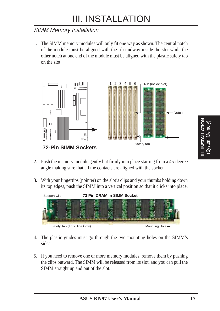### SIMM Memory Installation

1. The SIMM memory modules will only fit one way as shown. The central notch of the module must be aligned with the rib midway inside the slot while the other notch at one end of the module must be aligned with the plastic safety tab on the slot.



- 2. Push the memory module gently but firmly into place starting from a 45-degree angle making sure that all the contacts are aligned with the socket.
- 3. With your fingertips (pointer) on the slot's clips and your thumbs holding down its top edges, push the SIMM into a vertical position so that it clicks into place.



- 4. The plastic guides must go through the two mounting holes on the SIMM's sides.
- 5. If you need to remove one or more memory modules, remove them by pushing the clips outward. The SIMM will be released from its slot, and you can pull the SIMM straight up and out of the slot.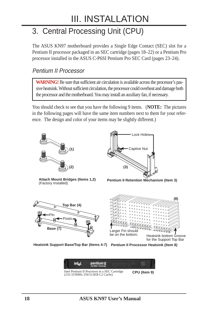# 3. Central Processing Unit (CPU)

The ASUS KN97 motherboard provides a Single Edge Contact (SEC) slot for a Pentium II processor packaged in an SEC cartridge (pages 18–22) or a Pentium Pro processor installed in the ASUS C-P6SI Pentium Pro SEC Card (pages 23–24).

### Pentium II Processor

**WARNING!** Be sure that sufficient air circulation is available across the processor's passive heatsink. Without sufficient circulation, the processor could overheat and damage both the processor and the motherboard. You may install an auxiliary fan, if necessary.

You should check to see that you have the following 9 items. (**NOTE:** The pictures in the following pages will have the same item numbers next to them for your reference. The design and color of your items may be slightly different.)



**Attach Mount Bridges (Items 1,2)** (Factory Installed)



**Pentium II Retention Mechanism (Item 3)**





**Heatsink Support Base/Top Bar (Items 4-7)** Pentium II Processor Heatsink (Item 8)

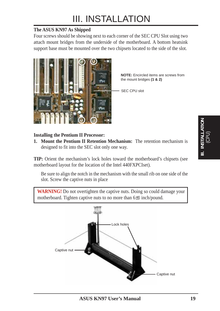#### **The ASUS KN97 As Shipped**

Four screws should be showing next to each corner of the SEC CPU Slot using two attach mount bridges from the underside of the motherboard. A bottom heatsink support base must be mounted over the two chipsets located to the side of the slot.



**NOTE:** Encircled items are screws from the mount bridges **(1 & 2)**

SEC CPU slot

#### **Installing the Pentium II Processor:**

**1. Mount the Pentium II Retention Mechanism:** The retention mechanism is designed to fit into the SEC slot only one way.

**TIP:** Orient the mechanism's lock holes toward the motherboard's chipsets (see motherboard layout for the location of the Intel 440FXPCIset).

Be sure to align the notch in the mechanism with the small rib on one side of the slot. Screw the captive nuts in place

WARNING! Do not overtighten the captive nuts. Doing so could damage your motherboard. Tighten captive nuts to no more than 6±1 inch/pound.

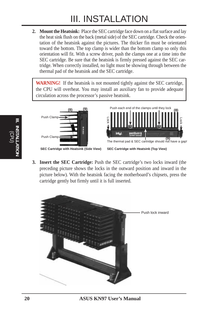**2. Mount the Heatsink:** Place the SEC cartridge face down on a flat surface and lay the heat sink flush on the back (metal side) of the SEC cartridge. Check the orientation of the heatsink against the pictures. The thicker fin must be orientated toward the bottom. The top clamp is wider than the bottom clamp so only this orientation will fit. With a screw driver, push the clamps one at a time into the SEC cartridge. Be sure that the heatsink is firmly pressed against the SEC cartridge. When correctly installed, no light must be showing through between the thermal pad of the heatsink and the SEC cartridge.

**WARNING!** If the heatsink is not mounted tightly against the SEC cartridge, the CPU will overheat. You may install an auxiliary fan to provide adequate circulation across the processor's passive heatsink.





**SEC Cartridge with Heatsink (Side View) SEC Cartridge with Heatsink (Top View)**

**3. Insert the SEC Cartridge:** Push the SEC cartridge's two locks inward (the preceding picture shows the locks in the outward position and inward in the picture below). With the heatsink facing the motherboard's chipsets, press the cartridge gently but firmly until it is full inserted.

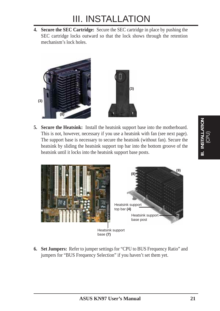**4. Secure the SEC Cartridge:** Secure the SEC cartridge in place by pushing the SEC cartridge locks outward so that the lock shows through the retention mechanism's lock holes.



**5. Secure the Heatsink:** Install the heatsink support base into the motherboard. This is not, however, necessary if you use a heatsink with fan (see next page). The support base is necessary to secure the heatsink (without fan). Secure the heatsink by sliding the heatsink support top bar into the bottom groove of the heatsink until it locks into the heatsink support base posts.



**6. Set Jumpers:** Refer to jumper settings for "CPU to BUS Frequency Ratio" and jumpers for "BUS Frequency Selection" if you haven't set them yet.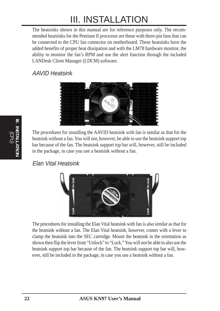The heatsinks shown in this manual are for reference purposes only. The recommended heatsinks for the Pentium II processor are those with three-pin fans that can be connected to the CPU fan connector on motherboard. These heatsinks have the added benefits of proper heat dissipation and with the LM78 hardware monitor, the ability to monitor the fan's RPM and use the alert function through the included LANDesk Client Manager (LDCM) software.

### AAVID Heatsink



The procedures for installing the AAVID heatsink with fan is similar as that for the heatsink without a fan. You will not, however, be able to use the heatsink support top bar because of the fan. The heatsink support top bar will, however, still be included in the package, in case you use a heatsink without a fan.

### Elan Vital Heatsink



The procedures for installing the Elan Vital heatsink with fan is also similar as that for the heatsink without a fan. The Elan Vital heatsink, however, comes with a lever to clamp the heatsink into the SEC cartridge. Mount the heatsink in the orientation as shown then flip the lever from "Unlock" to "Lock." You will not be able to also use the heatsink support top bar because of the fan. The heatsink support top bar will, however, still be included in the package, in case you use a heatsink without a fan.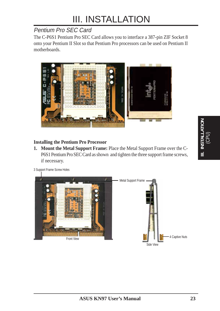## Pentium Pro SEC Card

The C-P6S1 Pentium Pro SEC Card allows you to interface a 387-pin ZIF Socket 8 onto your Pentium II Slot so that Pentium Pro processors can be used on Pentium II motherboards.



### **Installing the Pentium Pro Processor**

**1. Mount the Metal Support Frame:** Place the Metal Support Frame over the C-P6S1 Pentium Pro SEC Card as shown and tighten the three support frame screws, if necessary.



3 Support Frame Screw Holes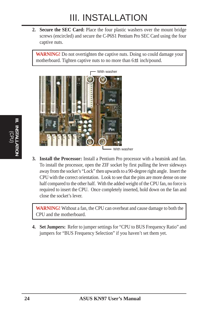**2. Secure the SEC Card:** Place the four plastic washers over the mount bridge screws (encircled) and secure the C-P6S1 Pentium Pro SEC Card using the four captive nuts.

**WARNING!** Do not overtighten the captive nuts. Doing so could damage your motherboard. Tighten captive nuts to no more than 6±1 inch/pound.



**3. Install the Processor:** Install a Pentium Pro processor with a heatsink and fan. To install the processor, open the ZIF socket by first pulling the lever sideways away from the socket's "Lock" then upwards to a 90-degree right angle. Insert the CPU with the correct orientation. Look to see that the pins are more dense on one half compared to the other half. With the added weight of the CPU fan, no force is required to insert the CPU. Once completely inserted, hold down on the fan and close the socket's lever.

**WARNING!** Without a fan, the CPU can overheat and cause damage to both the CPU and the motherboard.

**4. Set Jumpers:** Refer to jumper settings for "CPU to BUS Frequency Ratio" and jumpers for "BUS Frequency Selection" if you haven't set them yet.

**24 ASUS KN97 User's Manual**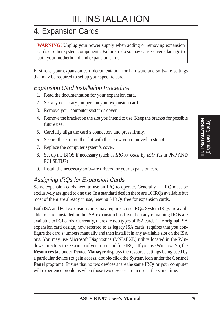# 4. Expansion Cards

**WARNING!** Unplug your power supply when adding or removing expansion cards or other system components. Failure to do so may cause severe damage to both your motherboard and expansion cards.

First read your expansion card documentation for hardware and software settings that may be required to set up your specific card.

### Expansion Card Installation Procedure

- 1. Read the documentation for your expansion card.
- 2. Set any necessary jumpers on your expansion card.
- 3. Remove your computer system's cover.
- 4. Remove the bracket on the slot you intend to use. Keep the bracket for possible future use.
- 5. Carefully align the card's connectors and press firmly.
- 6. Secure the card on the slot with the screw you removed in step 4.
- 7. Replace the computer system's cover.
- 8. Set up the BIOS if necessary (such as *IRQ xx Used By ISA: Yes* in PNP AND PCI SETUP)
- 9. Install the necessary software drivers for your expansion card.

### Assigning IRQs for Expansion Cards

Some expansion cards need to use an IRQ to operate. Generally an IRQ must be exclusively assigned to one use. In a standard design there are 16 IRQs available but most of them are already in use, leaving 6 IRQs free for expansion cards.

Both ISA and PCI expansion cards may require to use IRQs. System IRQs are available to cards installed in the ISA expansion bus first, then any remaining IRQs are available to PCI cards. Currently, there are two types of ISA cards. The original ISA expansion card design, now referred to as legacy ISA cards, requires that you configure the card's jumpers manually and then install it in any available slot on the ISA bus. You may use Microsoft Diagnostics (MSD.EXE) utility located in the Windows directory to see a map of your used and free IRQs. If you use Windows 95, the **Resources** tab under **Device Manager** displays the resource settings being used by a particular device (to gain access, double-click the **System** icon under the **Control Panel** program). Ensure that no two devices share the same IRQs or your computer will experience problems when those two devices are in use at the same time.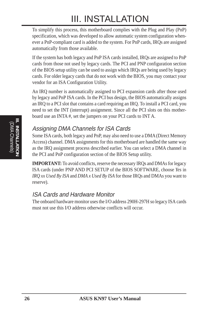To simplify this process, this motherboard complies with the Plug and Play (PnP) specification, which was developed to allow automatic system configuration whenever a PnP-compliant card is added to the system. For PnP cards, IRQs are assigned automatically from those available.

If the system has both legacy and PnP ISA cards installed, IRQs are assigned to PnP cards from those not used by legacy cards. The PCI and PNP configuration section of the BIOS setup utility can be used to assign which IRQs are being used by legacy cards. For older legacy cards that do not work with the BIOS, you may contact your vendor for an ISA Configuration Utility.

An IRQ number is automatically assigned to PCI expansion cards after those used by legacy and PnP ISA cards. In the PCI bus design, the BIOS automatically assigns an IRQ to a PCI slot that contains a card requiring an IRQ. To install a PCI card, you need to set the INT (interrupt) assignment. Since all the PCI slots on this motherboard use an INTA #, set the jumpers on your PCI cards to INT A.

## Assigning DMA Channels for ISA Cards

Some ISA cards, both legacy and PnP, may also need to use a DMA (Direct Memory Access) channel. DMA assignments for this motherboard are handled the same way as the IRQ assignment process described earlier. You can select a DMA channel in the PCI and PnP configuration section of the BIOS Setup utility.

**IMPORTANT:** To avoid conflicts, reserve the necessary IRQs and DMAs for legacy ISA cards (under PNP AND PCI SETUP of the BIOS SOFTWARE, choose *Yes* in *IRQ xx Used By ISA* and *DMA x Used By ISA* for those IRQs and DMAs you want to reserve).

### ISA Cards and Hardware Monitor

The onboard hardware monitor uses the I/O address 290H-297H so legacy ISA cards must not use this I/O address otherwise conflicts will occur.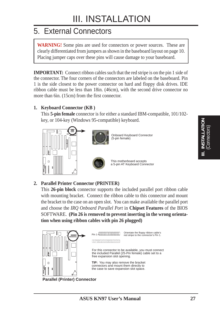## 5. External Connectors

**WARNING!** Some pins are used for connectors or power sources. These are clearly differentiated from jumpers as shown in the baseboard layout on page 10. Placing jumper caps over these pins will cause damage to your baseboard.

**IMPORTANT:** Connect ribbon cables such that the red stripe is on the pin 1 side of the connector. The four corners of the connectors are labeled on the baseboard. Pin 1 is the side closest to the power connector on hard and floppy disk drives. IDE ribbon cable must be less than 18in. (46cm), with the second drive connector no more than 6in. (15cm) from the first connector.

#### **1. Keyboard Connector (KB )**

This **5-pin female** connector is for either a standard IBM-compatible, 101/102 key, or 104-key (Windows 95-compatible) keyboard.





Onboard Keyboard Connector (5-pin female)



This motherboard accepts a 5-pin AT Keyboard Connector

### **2. Parallel Printer Connector (PRINTER)**

This **26-pin block** connector supports the included parallel port ribbon cable with mounting bracket. Connect the ribbon cable to this connector and mount the bracket to the case on an open slot. You can make available the parallel port and choose the *IRQ Onboard Parallel Port* in **Chipset Features** of the BIOS SOFTWARE. **(Pin 26 is removed to prevent inserting in the wrong orientation when using ribbon cables with pin 26 plugged)**

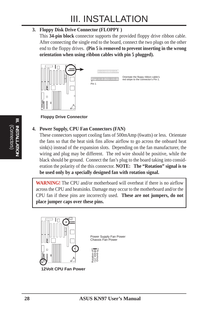#### **3. Floppy Disk Drive Connector (FLOPPY )**

This **34-pin block** connector supports the provided floppy drive ribbon cable. After connecting the single end to the board, connect the two plugs on the other end to the floppy drives. **(Pin 5 is removed to prevent inserting in the wrong orientation when using ribbon cables with pin 5 plugged).**



**GEORGE COMPLETE** 

Pin 1

Orientate the floppy ribbon cable's red stripe to the connector's Pin 1.

**Floppy Drive Connector**

#### **4. Power Supply, CPU Fan Connectors (FAN)**

These connectors support cooling fans of 500mAmp (6watts) or less. Orientate the fans so that the heat sink fins allow airflow to go across the onboard heat sink(s) instead of the expansion slots. Depending on the fan manufacturer, the wiring and plug may be different. The red wire should be positive, while the black should be ground. Connect the fan's plug to the board taking into consideration the polarity of the this connector. **NOTE: The "Rotation" signal is to be used only by a specially designed fan with rotation signal.**

**WARNING!** The CPU and/or motherboard will overheat if there is no airflow across the CPU and heatsinks. Damage may occur to the motherboard and/or the CPU fan if these pins are incorrectly used. **These are not jumpers, do not place jumper caps over these pins.**



Power Supply Fan Power Chassis Fan Power



**12Volt CPU Fan Power**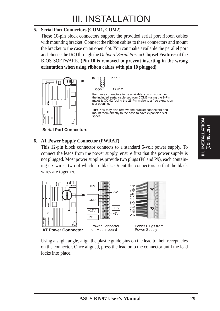#### **5. Serial Port Connectors (COM1, COM2)**

These 10-pin block connectors support the provided serial port ribbon cables with mounting bracket. Connect the ribbon cables to these connectors and mount the bracket to the case on an open slot. You can make available the parallel port and choose the IRQ through the *Onboard Serial Port* in **Chipset Features** of the BIOS SOFTWARE. **(Pin 10 is removed to prevent inserting in the wrong orientation when using ribbon cables with pin 10 plugged).**





For these connectors to be available, you must connect the included serial cable set from COM1 (using the 9-Pin male) & COM2 (using the 25-Pin male) to a free expansion slot opening.

**TIP:** You may also remove the bracket connectors and mount them directly to the case to save expansion slot space

**Serial Port Connectors**

### **6. AT Power Supply Connector (PWRAT)**

This 12-pin block connector connects to a standard 5-volt power supply. To connect the leads from the power supply, ensure first that the power supply is not plugged. Most power supplies provide two plugs (P8 and P9), each containing six wires, two of which are black. Orient the connectors so that the black wires are together.



Using a slight angle, align the plastic guide pins on the lead to their receptacles on the connector. Once aligned, press the lead onto the connector until the lead locks into place.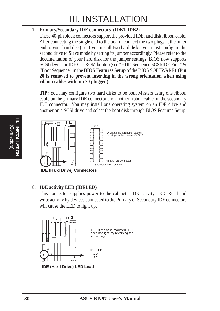#### **7. Primary/Secondary IDE connectors (IDE1, IDE2)**

These 40-pin block connectors support the provided IDE hard disk ribbon cable. After connecting the single end to the board, connect the two plugs at the other end to your hard disk(s). If you install two hard disks, you must configure the second drive to Slave mode by setting its jumper accordingly. Please refer to the documentation of your hard disk for the jumper settings. BIOS now supports SCSI device or IDE CD-ROM bootup (see "HDD Sequence SCSI/IDE First" & "Boot Sequence" in the **BIOS Features Setup** of the BIOS SOFTWARE) **(Pin 20 is removed to prevent inserting in the wrong orientation when using ribbon cables with pin 20 plugged).**

**TIP:** You may configure two hard disks to be both Masters using one ribbon cable on the primary IDE connector and another ribbon cable on the secondary IDE connector. You may install one operating system on an IDE drive and another on a SCSI drive and select the boot disk through BIOS Features Setup.



**IDE (Hard Drive) Connectors**

#### **8. IDE activity LED (IDELED)**

This connector supplies power to the cabinet's IDE activity LED. Read and write activity by devices connected to the Primary or Secondary IDE connectors will cause the LED to light up.

Primary IDE Connector

Orientate the IDE ribbon cable's red stripe to the connector's Pin 1.



**IDE (Hard Drive) LED Lead**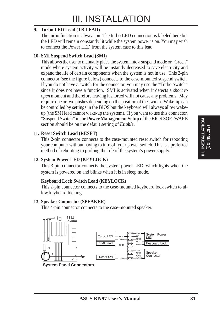#### **9. Turbo LED Lead (TB LEAD)**

The turbo function is always on. The turbo LED connection is labeled here but the LED will remain constantly lit while the system power is on. You may wish to connect the Power LED from the system case to this lead.

#### **10. SMI Suspend Switch Lead (SMI)**

This allows the user to manually place the system into a suspend mode or "Green" mode where system activity will be instantly decreased to save electricity and expand the life of certain components when the system is not in use. This 2-pin connector (see the figure below) connects to the case-mounted suspend switch. If you do not have a switch for the connector, you may use the "Turbo Switch" since it does not have a function. SMI is activated when it detects a *short to open* moment and therefore leaving it shorted will not cause any problems. May require one or two pushes depending on the position of the switch. Wake-up can be controlled by settings in the BIOS but the keyboard will always allow wakeup (the SMI lead cannot wake-up the system). If you want to use this connector, "Suspend Switch" in the **Power Management Setup** of the BIOS SOFTWARE section should be on the default setting of *Enable.*

#### **11. Reset Switch Lead (RESET)**

This 2-pin connector connects to the case-mounted reset switch for rebooting your computer without having to turn off your power switch This is a preferred method of rebooting to prolong the life of the system's power supply.

#### **12. System Power LED (KEYLOCK)**

This 3-pin connector connects the system power LED, which lights when the system is powered on and blinks when it is in sleep mode.

#### **Keyboard Lock Switch Lead (KEYLOCK)**

This 2-pin connector connects to the case-mounted keyboard lock switch to allow keyboard locking.

#### **13. Speaker Connector (SPEAKER)**

This 4-pin connector connects to the case-mounted speaker.





**System Panel Connectors**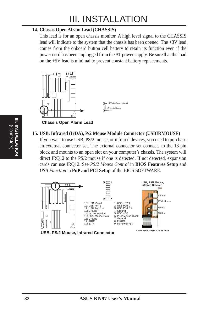#### **14. Chassis Open Alram Lead (CHASSIS)**

This lead is for an open chassis monitor. A high level signal to the CHASSIS lead will indicate to the system that the chassis has been opened. The +3V lead comes from the onboard button cell battery to retain its function even if the power cord has been unplugged from the AT power supply. Be sure that the load on the +5V lead is minimal to prevent constant battery replacements.



**Chassis Open Alarm Lead**

**15. USB, Infrared (IrDA), P/2 Mouse Module Connector (USBIRMOUSE)**

If you want to use USB, PS/2 mouse, or infrared devices, you need to purchase an external connector set. The external connector set connects to the 18-pin block and mounts to an open slot on your computer's chassis. The system will direct IRQ12 to the PS/2 mouse if one is detected. If not detected, expansion cards can use IRQ12. See *PS/2 Mouse Control* in **BIOS Features Setup** and *USB Function* in **PnP and PCI Setup** of the BIOS SOFTWARE.



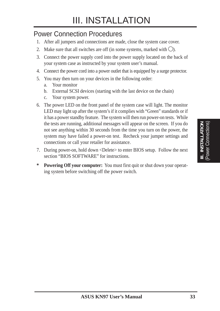## Power Connection Procedures

- 1. After all jumpers and connections are made, close the system case cover.
- 2. Make sure that all switches are off (in some systems, marked with  $\bigcirc$ ).
- 3. Connect the power supply cord into the power supply located on the back of your system case as instructed by your system user's manual.
- 4. Connect the power cord into a power outlet that is equipped by a surge protector.
- 5. You may then turn on your devices in the following order:
	- a. Your monitor
	- b. External SCSI devices (starting with the last device on the chain)
	- c. Your system power.
- 6. The power LED on the front panel of the system case will light. The monitor LED may light up after the system's if it complies with "Green" standards or if it has a power standby feature. The system will then run power-on tests. While the tests are running, additional messages will appear on the screen. If you do not see anything within 30 seconds from the time you turn on the power, the system may have failed a power-on test. Recheck your jumper settings and connections or call your retailer for assistance.
- 7. During power-on, hold down <Delete> to enter BIOS setup. Follow the next section "BIOS SOFTWARE" for instructions.
- **\* Powering Off your computer:** You must first quit or shut down your operating system before switching off the power switch.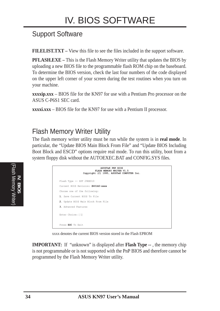## Support Software

**FILELIST.TXT –** View this file to see the files included in the support software.

**PFLASH.EXE –** This is the Flash Memory Writer utility that updates the BIOS by uploading a new BIOS file to the programmable flash ROM chip on the baseboard. To determine the BIOS version, check the last four numbers of the code displayed on the upper left corner of your screen during the test routines when you turn on your machine.

**xxxxip.xxx** – BIOS file for the KN97 for use with a Pentium Pro processor on the ASUS C-P6S1 SEC card.

**xxxxi.xxx** – BIOS file for the KN97 for use with a Pentium II processor.

## Flash Memory Writer Utility

The flash memory writer utility must be run while the system is in **real mode**. In particular, the "Update BIOS Main Block From File" and "Update BIOS Including Boot Block and ESCD" options require real mode. To run this utility, boot from a system floppy disk without the AUTOEXEC.BAT and CONFIG.SYS files.

| è                                                                                                                                               |  |
|-------------------------------------------------------------------------------------------------------------------------------------------------|--|
| and the state of the state of the state of the state of the state of the state of the state of the state of th<br>š<br>$\subseteq$<br>$\vec{0}$ |  |
| E<br>Ε                                                                                                                                          |  |

| <b>ASUSTeK PNP BIOS</b><br>FLASH MEMORY WRITER V1.5<br>Copyright (C) 1995, ASUSTeK COMPUTER Inc. |
|--------------------------------------------------------------------------------------------------|
| Flash Type -- SST 29EE010                                                                        |
| Current BIOS Revision: #401A0-xxxx                                                               |
| Choose one of the following:                                                                     |
| 1. Save Current BIOS To File                                                                     |
| 2. Update BIOS Main Block From File                                                              |
| 3. Advanced Features                                                                             |
| Enter Choice: [1]                                                                                |
| Press ESC To Exit                                                                                |

xxxx denotes the current BIOS version stored in the Flash EPROM

**IMPORTANT:** If "unknown" is displayed after **Flash Type --** , the memory chip is not programmable or is not supported with the PnP BIOS and therefore cannot be programmed by the Flash Memory Writer utility.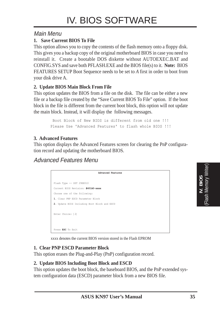### Main Menu

#### **1. Save Current BIOS To File**

This option allows you to copy the contents of the flash memory onto a floppy disk. This gives you a backup copy of the original motherboard BIOS in case you need to reinstall it. Create a bootable DOS diskette without AUTOEXEC.BAT and CONFIG.SYS and save both PFLASH.EXE and the BIOS file(s) to it. **Note:** BIOS FEATURES SETUP Boot Sequence needs to be set to *A* first in order to boot from your disk drive A.

#### **2. Update BIOS Main Block From File**

This option updates the BIOS from a file on the disk. The file can be either a new file or a backup file created by the "Save Current BIOS To File" option. If the boot block in the file is different from the current boot block, this option will not update the main block. Instead, it will display the following messages.

> Boot Block of New BIOS is different from old one !!! Please Use 'Advanced Features' to flash whole BIOS !!!

#### **3. Advanced Features**

This option displays the Advanced Features screen for clearing the PnP configuration record and updating the motherboard BIOS.

Advanced Features Menu

| <b>Advanced Features</b>                     |
|----------------------------------------------|
| Flash Type -- SST 29EE010                    |
| Current BIOS Revision: #401A0-xxxx           |
| Choose one of the following:                 |
| 1. Clear PNP ESCD Parameter Block            |
| 2. Update BIOS Including Boot Block and ESCD |
| Enter Choice: [2]                            |
| Press ESC To Exit                            |

xxxx denotes the current BIOS version stored in the Flash EPROM

#### **1. Clear PNP ESCD Parameter Block**

This option erases the Plug-and-Play (PnP) configuration record.

#### **2. Update BIOS Including Boot Block and ESCD**

This option updates the boot block, the baseboard BIOS, and the PnP extended system configuration data (ESCD) parameter block from a new BIOS file.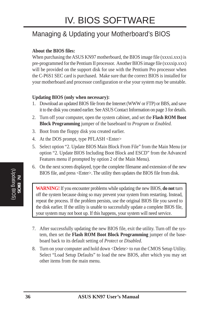# IV. BIOS SOFTWARE

## Managing & Updating your Motherboard's BIOS

#### **About the BIOS files:**

When purchasing the ASUS KN97 motherboard, the BIOS image file (xxxxi.xxx) is pre-programmed for the Pentium II processor. Another BIOS image file (xxxxip.xxx) will be provided on the support disk for use with the Pentium Pro processor when the C-P6S1 SEC card is purchased. Make sure that the correct BIOS is installed for your motherboard and processor configuration or else your system may be unstable.

#### **Updating BIOS (only when necessary):**

- 1. Download an updated BIOS file from the Internet (WWW or FTP) or BBS, and save it to the disk you created earlier. See ASUS Contact Information on page 3 for details.
- 2. Turn off your computer, open the system cabinet, and set the **Flash ROM Boot Block Programming** jumper of the baseboard to *Program* or *Enabled.*
- 3. Boot from the floppy disk you created earlier.
- 4. At the DOS prompt, type PFLASH <Enter>
- 5. Select option "2. Update BIOS Main Block From File" from the Main Menu (or option "2. Update BIOS Including Boot Block and ESCD" from the Advanced Features menu if prompted by option 2 of the Main Menu).
- 6. On the next screen displayed, type the complete filename and extension of the new BIOS file, and press <Enter>. The utility then updates the BIOS file from disk.

**WARNING!** If you encounter problems while updating the new BIOS, **do not** turn off the system because doing so may prevent your system from restarting. Instead, repeat the process. If the problem persists, use the original BIOS file you saved to the disk earlier. If the utility is unable to successfully update a complete BIOS file, your system may not boot up. If this happens, your system will need service.

- 7. After successfully updating the new BIOS file, exit the utility. Turn off the system, then set the **Flash ROM Boot Block Programming** jumper of the baseboard back to its default setting of *Protect* or *Disabled*.
- 8. Turn on your computer and hold down <Delete> to run the CMOS Setup Utility. Select "Load Setup Defaults" to load the new BIOS, after which you may set other items from the main menu.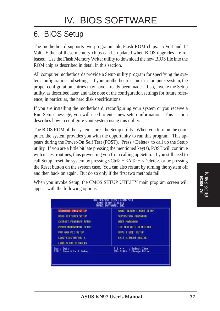# 6. BIOS Setup

The motherboard supports two programmable Flash ROM chips: 5 Volt and 12 Volt. Either of these memory chips can be updated when BIOS upgrades are released. Use the Flash Memory Writer utility to download the new BIOS file into the ROM chip as described in detail in this section.

All computer motherboards provide a Setup utility program for specifying the system configuration and settings. If your motherboard came in a computer system, the proper configuration entries may have already been made. If so, invoke the Setup utility, as described later, and take note of the configuration settings for future reference; in particular, the hard disk specifications.

If you are installing the motherboard, reconfiguring your system or you receive a Run Setup message, you will need to enter new setup information. This section describes how to configure your system using this utility.

The BIOS ROM of the system stores the Setup utility. When you turn on the computer, the system provides you with the opportunity to run this program. This appears during the Power-On Self Test (POST). Press <Delete> to call up the Setup utility. If you are a little bit late pressing the mentioned key(s), POST will continue with its test routines, thus preventing you from calling up Setup. If you still need to call Setup, reset the system by pressing  $\langle \text{Ctrl} \rangle + \langle \text{Alt} \rangle + \langle \text{Delete} \rangle$ , or by pressing the Reset button on the system case. You can also restart by turning the system off and then back on again. But do so only if the first two methods fail.

When you invoke Setup, the CMOS SETUP UTILITY main program screen will appear with the following options:

| STONDARD CHOS SETUP                               | SMORT DEARM (EN78) SETUP                       |
|---------------------------------------------------|------------------------------------------------|
| <b>810S FEATURES SETUP</b>                        | SUPERVISOR PASSHORD                            |
| CHIPSET FEATURES SETUP                            | <b>USER PRSSHOUD</b>                           |
| <b><i>POWER MANAGEMENT SETUP</i></b>              | TOE HOD RUTO DETECTION                         |
| FMP TIMO PCT SETUP                                | SIVE & EXIT SETUP                              |
| LOAD B10S DEFINILTS.                              | <b>EXIT WITHOUT SAVING</b>                     |
| LOOD SETUP DEFAILTS                               |                                                |
| <b>Ouit</b><br>t se<br>Save & Exit Setup<br>F10 1 | <b>Select Item</b><br>(Shift)F2 : Change Color |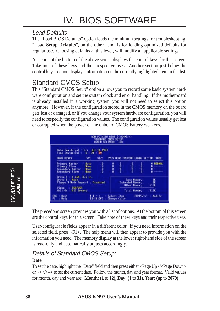### Load Defaults

The "Load BIOS Defaults" option loads the minimum settings for troubleshooting. "**Load Setup Defaults**", on the other hand, is for loading optimized defaults for regular use. Choosing defaults at this level, will modify all applicable settings.

A section at the bottom of the above screen displays the control keys for this screen. Take note of these keys and their respective uses. Another section just below the control keys section displays information on the currently highlighted item in the list.

## Standard CMOS Setup

This "Standard CMOS Setup" option allows you to record some basic system hardware configuration and set the system clock and error handling. If the motherboard is already installed in a working system, you will not need to select this option anymore. However, if the configuration stored in the CMOS memory on the board gets lost or damaged, or if you change your system hardware configuration, you will need to respecify the configuration values. The configuration values usually get lost or corrupted when the power of the onboard CMOS battery weakens.

| <b>LCOMPTEEL</b><br>STANDARD CNOS SETUP<br>AWARD SOFTWARE, INC.                                                                       |              |                                                                        |                                |      |                            |  |
|---------------------------------------------------------------------------------------------------------------------------------------|--------------|------------------------------------------------------------------------|--------------------------------|------|----------------------------|--|
| Date (mm:dd:yy) : Fri, 3gl. 11, 1997<br>Time (hh:mm:ss) : 5 : 21 : 59<br><b>HERD DISKS</b><br><b>ST/E</b><br><b>TYPE</b>              |              |                                                                        | CYLS HEAD PRECOMP LANDZ SECTOR |      | <b>MDDE</b>                |  |
| <b>Primary Master</b><br>: Ruta<br><b>Primury Slave</b><br><b>NOTAL</b><br>Secondary Naster<br><b>None</b><br>Secondary Slave<br>None | 8888<br>,,,, | 0000                                                                   | 自由自由                           | 日本の話 | NORMEL<br>Ũ                |  |
| Drive R : 1.44M, 3.5 in.<br>Drive B. : None<br>Floppy 3 Mode Support : Disabled<br>Video<br>EGA/VGA                                   |              | <b>Base Newprus</b><br><b>Extended Newpry:</b><br><b>Other Memory:</b> |                                | 512K |                            |  |
| <b>All Frrors</b><br>Halt On<br>Ouit<br>ES0<br>$\frac{1}{2}$ Shift)F2<br>Help<br>F1                                                   | Change Color | Select Item                                                            | Total Memory:                  |      | 512K<br>PU/PD/+/- : Modify |  |

**IV. BIOS**<br>(Standard CMOS) (Standard CMOS)

> The precedong screen provides you with a list of options. At the bottom of this screen are the control keys for this screen. Take note of these keys and their respective uses.

> User-configurable fields appear in a different color. If you need information on the selected field, press <F1>. The help menu will then appear to provide you with the information you need. The memory display at the lower right-hand side of the screen is read-only and automatically adjusts accordingly.

## Details of Standard CMOS Setup:

#### **Date**

To set the date, highlight the "Date" field and then press either <Page Up>/<Page Down> or  $\langle + \rangle \langle - \rangle$  to set the current date. Follow the month, day and year format. Valid values for month, day and year are: **Month: (1** to **12), Day: (1** to **31), Year: (**up to **2079)**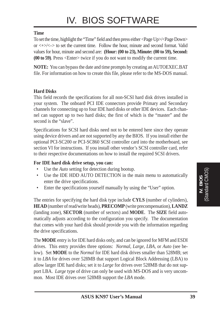#### **Time**

To set the time, highlight the "Time" field and then press either <Page Up>/<Page Down> or  $\langle + \rangle$  to set the current time. Follow the hour, minute and second format. Valid values for hour, minute and second are: **(Hour: (00 to 23), Minute: (00 to 59), Second: (00 to 59)**. Press <Enter> twice if you do not want to modify the current time.

**NOTE:** You can bypass the date and time prompts by creating an AUTOEXEC.BAT file. For information on how to create this file, please refer to the MS-DOS manual.

#### **Hard Disks**

This field records the specifications for all non-SCSI hard disk drives installed in your system. The onboard PCI IDE connectors provide Primary and Secondary channels for connecting up to four IDE hard disks or other IDE devices. Each channel can support up to two hard disks; the first of which is the "master" and the second is the "slave".

Specifications for SCSI hard disks need not to be entered here since they operate using device drivers and are not supported by any the BIOS. If you install either the optional PCI-SC200 or PCI-SC860 SCSI controller card into the motherboard, see section VI for instructions. If you install other vendor's SCSI controller card, refer to their respective documentations on how to install the required SCSI drivers.

#### **For IDE hard disk drive setup, you can:**

- Use the *Auto* setting for detection during bootup.
- Use the IDE HDD AUTO DETECTION in the main menu to automatically enter the drive specifications.
- Enter the specifications yourself manually by using the "User" option.

The entries for specifying the hard disk type include **CYLS** (number of cylinders), **HEAD** (number of read/write heads), **PRECOMP** (write precompensation), **LANDZ** (landing zone), **SECTOR** (number of sectors) and **MODE**. The **SIZE** field automatically adjusts according to the configuration you specify. The documentation that comes with your hard disk should provide you with the information regarding the drive specifications.

The **MODE** entry is for IDE hard disks only, and can be ignored for MFM and ESDI drives. This entry provides three options: *Normal, Large, LBA*, or *Auto* (see below). Set **MODE** to the *Normal* for IDE hard disk drives smaller than 528MB; set it to *LBA* for drives over 528MB that support Logical Block Addressing (LBA) to allow larger IDE hard disks; set it to *Large* for drives over 528MB that do not support LBA. *Large* type of drive can only be used with MS-DOS and is very uncommon. Most IDE drives over 528MB support the *LBA* mode.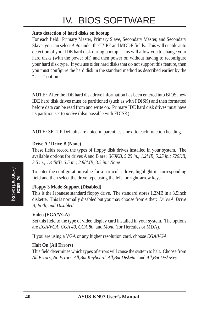# IV. BIOS SOFTWARE

#### **Auto detection of hard disks on bootup**

For each field: Primary Master, Primary Slave, Secondary Master, and Secondary Slave, you can select *Auto* under the TYPE and MODE fields. This will enable auto detection of your IDE hard disk during bootup. This will allow you to change your hard disks (with the power off) and then power on without having to reconfigure your hard disk type. If you use older hard disks that do not support this feature, then you must configure the hard disk in the standard method as described earlier by the "User" option.

**NOTE:** After the IDE hard disk drive information has been entered into BIOS, new IDE hard disk drives must be partitioned (such as with FDISK) and then formatted before data can be read from and write on. Primary IDE hard disk drives must have its partition set to *active* (also possible with FDISK).

**NOTE:** SETUP Defaults are noted in parenthesis next to each function heading.

#### **Drive A / Drive B (None)**

These fields record the types of floppy disk drives installed in your system. The available options for drives A and B are: *360KB, 5.25 in.; 1.2MB, 5.25 in.; 720KB, 3.5 in.; 1.44MB, 3.5 in.; 2.88MB, 3.5 in.; None*

To enter the configuration value for a particular drive, highlight its corresponding field and then select the drive type using the left- or right-arrow keys.

#### **Floppy 3 Mode Support (Disabled)**

This is the Japanese standard floppy drive. The standard stores 1.2MB in a 3.5inch diskette. This is normally disabled but you may choose from either: *Drive A, Drive B, Both, and Disabled*

#### **Video (EGA/VGA)**

Set this field to the type of video display card installed in your system. The options are *EGA/VGA*, *CGA 49*, *CGA 80*, and *Mono* (for Hercules or MDA)*.*

If you are using a VGA or any higher resolution card, choose *EGA/VGA*.

#### **Halt On (All Errors)**

This field determines which types of errors will cause the system to halt. Choose from *All Errors*; *No Errors*; *All*,*But Keyboard, All*,*But Diskette*; and *All,But Disk/Key.*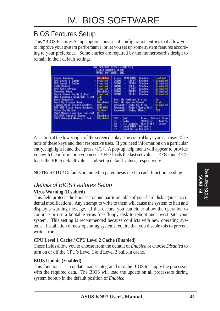## BIOS Features Setup

This "BIOS Features Setup" option consists of configuration entries that allow you to improve your system performance, or let you set up some system features according to your preference. Some entries are required by the motherboard's design to remain in their default settings.

|                                                                                                                                                                                                                                                                                                                                                                                                                                                                                                                                                                                                                                | HDM PCI/ISA BIOS (< <rn97>) <br/>BIOS FEATURES SETUP<br/>AWARD SOFTWARE, INC.</rn97>                                                                                                                                                                                                                                                                                                                                                                                                                                                                                                                                                                                                                                                                                                                                          |
|--------------------------------------------------------------------------------------------------------------------------------------------------------------------------------------------------------------------------------------------------------------------------------------------------------------------------------------------------------------------------------------------------------------------------------------------------------------------------------------------------------------------------------------------------------------------------------------------------------------------------------|-------------------------------------------------------------------------------------------------------------------------------------------------------------------------------------------------------------------------------------------------------------------------------------------------------------------------------------------------------------------------------------------------------------------------------------------------------------------------------------------------------------------------------------------------------------------------------------------------------------------------------------------------------------------------------------------------------------------------------------------------------------------------------------------------------------------------------|
| Disabled<br>Virus Warning<br>CPU Level 1 Cache<br>Enabled<br>CPU Level 2 Cache<br>Enabled<br><b>BIOS Update</b><br>Enabled<br>CPU Fast String<br>Finibiled.<br><b>Deturbo Node</b><br><b>Disabled</b><br><b>Ouick Power On Self Test</b><br>Enabled<br>HDD Sequence SCSI/IDE First:<br><b>TIXE</b><br>C.R<br>Boot: Sequence<br><b>Boot Up Floppy Seek</b><br>Disabled<br>Floppy Disk Access Control<br>R/W<br>HEID MEDIC<br><b>IDE HDD Block Mode Sectors</b><br>Security Ontion<br>Sustem<br><b>PS/2 Mouse Function Control:</b><br><b>Huto</b><br>PCI/VGA Palette Snoop<br>Disabled<br>0S/2 Onboard Newary > 66M<br>Disabled | <b>RON 810S</b><br>Enabled.<br>Shadow<br>Video<br>CBLEE<br>C8008<br><b>Shadow</b><br>Disabled<br>٠<br><b>CFFFF</b><br>00000<br><b>Shadow</b><br>Disabled<br>$\bullet$<br>00000<br><b>D3FFF</b><br>$\blacklozenge$<br><b>Shadow</b><br><b>Disabled</b><br>$0$ $H$ $H$<br><b>DARNIE</b><br><b>Disabled</b><br>۰<br>Shadow<br>08000<br><b>DBITT</b><br><b>Contract</b><br><b>Shadow</b><br>Disabled<br>00880<br>Disabled<br>DEEFE<br>Shadow<br><b>Boot Up NumLock Status</b><br>Un.<br>High<br><b>Boot Up System Speed</b><br>Typematic Rate Setting<br>Disabled<br>Typematic Rate (Chars/Sec);<br>6. 7<br>250<br>Ivoematic Delay (Msec)<br>ESC<br>Time : Select Item<br>$0$ uit<br>目弦<br><b>Help</b><br>PU/PD/+/+++<br>Modify<br><b>Old Values</b><br>(ShitE)E2<br>Color<br>Lond BIOS<br>Defaults.<br>F7<br>Load Setup Defaults |

A section at the lower right of the screen displays the control keys you can use. Take note of these keys and their respective uses. If you need information on a particular entry, highlight it and then press  $\langle F1 \rangle$ . A pop-up help menu will appear to provide you with the information you need. <F5> loads the last set values, <F6> and <F7> loads the BIOS default values and Setup default values, respectively.

**NOTE:** SETUP Defaults are noted in parenthesis next to each function heading.

## Details of BIOS Features Setup

#### **Virus Warning (Disabled)**

This field protects the boot sector and partition table of your hard disk against accidental modifications. Any attempt to write to them will cause the system to halt and display a warning message. If this occurs, you can either allow the operation to continue or use a bootable virus-free floppy disk to reboot and investigate your system. This setting is recommended because conflicts with new operating systems. Installation of new operating systems require that you disable this to prevent write errors.

#### **CPU Level 1 Cache / CPU Level 2 Cache (Enabled)**

These fields allow you to choose from the default of *Enabled* or choose *Disabled* to turn on or off the CPU's Level 1 and Level 2 built-in cache.

#### **BIOS Update (Enabled)**

This functions as an update loader integrated into the BIOS to supply the processor with the required data. The BIOS will load the update on all processors during system bootup in the default position of *Enabled*.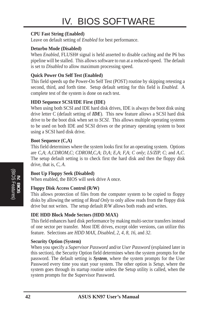#### **CPU Fast String (Enabled)**

Leave on default setting of *Enabled* for best performance.

#### **Deturbo Mode (Disabled)**

When *Enabled*, FLUSH# signal is held asserted to disable caching and the P6 bus pipeline will be stalled. This allows software to run at a reduced-speed. The default is set to *Disabled* to allow maximum processing speed.

#### **Quick Power On Self Test (Enabled)**

This field speeds up the Power-On Self Test (POST) routine by skipping retesting a second, third, and forth time. Setup default setting for this field is *Enabled*. A complete test of the system is done on each test.

#### **HDD Sequence SCSI/IDE First (IDE)**

When using both SCSI and IDE hard disk drives, IDE is always the boot disk using drive letter C (default setting of *IDE*). This new feature allows a SCSI hard disk drive to be the boot disk when set to *SCSI*. This allows multiple operating systems to be used on both IDE and SCSI drives or the primary operating system to boot using a SCSI hard disk drive.

#### **Boot Sequence (C,A)**

This field determines where the system looks first for an operating system. Options are *C,A*; *A,CDROM,C*; *CDROM,C,A*; *D,A*; *E,A*; *F,A*; *C only*; *LS/ZIP, C*; and *A,C*. The setup default setting is to check first the hard disk and then the floppy disk drive, that is, *C, A*.

#### **Boot Up Floppy Seek (Disabled)**

When enabled, the BIOS will seek drive A once.

#### **Floppy Disk Access Control (R/W)**

This allows protection of files from the computer system to be copied to floppy disks by allowing the setting of *Read Only* to only allow reads from the floppy disk drive but not writes. The setup default *R/W* allows both reads and writes.

#### **IDE HDD Block Mode Sectors (HDD MAX)**

This field enhances hard disk performance by making multi-sector transfers instead of one sector per transfer. Most IDE drives, except older versions, can utilize this feature. Selections are *HDD MAX*, *Disabled*, *2*, *4*, *8*, *16*, and *32*.

#### **Security Option (System)**

When you specify a *Supervisor Password* and/or *User Password* (explained later in this section), the Security Option field determines when the system prompts for the password. The default setting is *System*, where the system prompts for the User Password every time you start your system. The other option is *Setup*, where the system goes through its startup routine unless the Setup utility is called, when the system prompts for the Supervisor Password.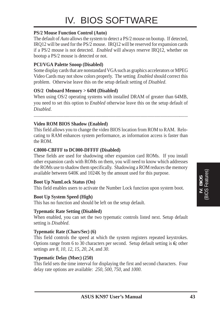#### **PS/2 Mouse Function Control (Auto)**

The default of *Auto* allows the system to detect a PS/2 mouse on bootup. If detected, IRQ12 will be used for the PS/2 mouse. IRQ12 will be reserved for expansion cards if a PS/2 mouse is not detected. *Enabled* will always reserve IRQ12, whether on bootup a PS/2 mouse is detected or not.

#### **PCI/VGA Palette Snoop (Disabled)**

Some display cards that are nonstandard VGA such as graphics accelerators or MPEG Video Cards may not show colors properly. The setting *Enabled* should correct this problem. Otherwise leave this on the setup default setting of *Disabled*.

#### **OS/2 Onboard Memory > 64M (Disabled)**

When using OS/2 operating systems with installed DRAM of greater than 64MB, you need to set this option to *Enabled* otherwise leave this on the setup default of *Disabled*.

......................................................................................................................................

#### **Video ROM BIOS Shadow (Enabled)**

This field allows you to change the video BIOS location from ROM to RAM. Relocating to RAM enhances system performance, as information access is faster than the ROM.

#### **C8000-CBFFF to DC000-DFFFF (Disabled)**

These fields are used for shadowing other expansion card ROMs. If you install other expansion cards with ROMs on them, you will need to know which addresses the ROMs use to shadow them specifically. Shadowing a ROM reduces the memory available between 640K and 1024K by the amount used for this purpose.

#### **Boot Up NumLock Status (On)**

This field enables users to activate the Number Lock function upon system boot.

#### **Boot Up System Speed (High)**

This has no function and should be left on the setup default.

#### **Typematic Rate Setting (Disabled)**

When enabled, you can set the two typematic controls listed next. Setup default setting is *Disabled*.

#### **Typematic Rate (Chars/Sec) (6)**

This field controls the speed at which the system registers repeated keystrokes. Options range from 6 to 30 characters per second. Setup default setting is *6;* other settings are *8*, *10*, *12*, *15*, *20*, *24*, and *30*.

#### **Typematic Delay (Msec) (250)**

This field sets the time interval for displaying the first and second characters. Four delay rate options are available: *250*, *500*, *750*, and *1000*.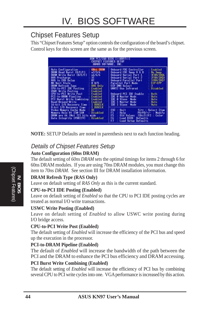## Chipset Features Setup

This "Chipset Features Setup" option controls the configuration of the board's chipset. Control keys for this screen are the same as for the previous screen.

| AWARD SOFTWARE, INC.                                                                                                                                                                                                                                                                                                                                                                                                                                                                                                              | ISA BIOS (< <kn97>&gt;)<br/>CHIPSET FEATURES SETUP</kn97>                                                                                                                                                                                                                                                                                                                                                                                                                                                                                              |
|-----------------------------------------------------------------------------------------------------------------------------------------------------------------------------------------------------------------------------------------------------------------------------------------------------------------------------------------------------------------------------------------------------------------------------------------------------------------------------------------------------------------------------------|--------------------------------------------------------------------------------------------------------------------------------------------------------------------------------------------------------------------------------------------------------------------------------------------------------------------------------------------------------------------------------------------------------------------------------------------------------------------------------------------------------------------------------------------------------|
| <b>6Bos. DRIM</b><br><b>Buto Configuration</b><br>DRAM Read Burst (B/E/F)<br>u2/3/4<br>DRAM Write Burst (B/E/F)<br>66/6/6<br>읡<br>RIS Precharge<br>RAS to CAS Delay<br>0 WS<br>MA Wait State<br><b>CROW Refresh Type</b><br><b>BAS Only</b><br>CPU-to-PCI IDE Pasting<br>Enabled<br><b>USMC</b> Write Posting<br>Enabled<br>CPU-to-PCI Write Post<br>Enabled<br>PCI-to-DRAM Pipeline<br>Enabled<br>PCI Burst Write Combining:<br>Enabled<br>Read-Around-Hrite<br>Enabled<br>l Huselk<br>16-bit 1/0 Recovery Time<br><b>BUSCLK</b> | <b>Onboard FDC Controller</b><br>Enabled<br><b>Onboard FDC Swap R &amp; B</b><br>No Serio<br><b>JEBN/TROA</b><br><b>Onboard Serial Port 1</b><br><b>JFBN/TRUC</b><br>Onboard Serial Part 2<br><b>STRACTROT</b><br>Onboard Parallel Part<br><b>Parallel Port Mode</b><br><b>ECP-EPP</b><br>UGRT2 Use: Infrared<br><b>Bisabled</b><br><b>Onboard PCI IDE Enable</b><br>Both.<br><b>IDE &amp; Master Mode</b><br><b>Huto</b><br><b>0 Slave Mode</b><br>ID€<br><b>Buto</b><br><b>TDE 1 Mastor Mode</b><br>listo<br><b>TDE 1 Slave Mode</b><br><b>Histo</b> |
| 8-bit I/O Recovery Time<br>uc<br>Vidoo Mamory Cache Mode<br><b>Disabled</b><br>Memory Hole H1 15M-16M<br>DRSM are 64 (Not 72) bits<br>wide.<br>Data Integrity (PARITY)<br>Disabled                                                                                                                                                                                                                                                                                                                                                | ESC<br>$0$ uit<br>Time : Select Item<br>F1<br>Help.<br>PU/PD/+/+  <br><b>Modify</b><br>FS<br>$\{Shift\}$<br>Old Values<br>Color<br>56<br>Loud BIOS<br>Defaults.<br>F7<br>Load Setup Defaults                                                                                                                                                                                                                                                                                                                                                           |

**NOTE:** SETUP Defaults are noted in parenthesis next to each function heading.

### Details of Chipset Features Setup

#### **Auto Configuration (60ns DRAM)**

The default setting of *60ns DRAM* sets the optimal timings for items 2 through 6 for 60ns DRAM modules. If you are using 70ns DRAM modules, you must change this item to *70ns DRAM*. See section III for DRAM installation information.

#### **DRAM Refresh Type (RAS Only)**

Leave on default setting of *RAS Only* as this is the current standard.

#### **CPU-to-PCI IDE Posting (Enabled)**

Leave on default setting of *Enabled* so that the CPU to PCI IDE posting cycles are treated as normal I/O write transactions.

#### **USWC Write Posting (Enabled)**

Leave on default setting of *Enabled* to allow USWC write posting during I/O bridge access.

#### **CPU-to-PCI Write Post (Enabled)**

The default setting of *Enabled* will increase the efficiency of the PCI bus and speed up the execution in the processor.

#### **PCI-to-DRAM Pipeline (Enabled)**

The default of *Enabled* will increase the bandwidth of the path between the PCI and the DRAM to enhance the PCI bus efficiency and DRAM accessing.

#### **PCI Burst Write Combining (Enabled)**

The default setting of *Enabled* will increase the efficiency of PCI bus by combining several CPU to PCI write cycles into one. VGA performance is increased by this action.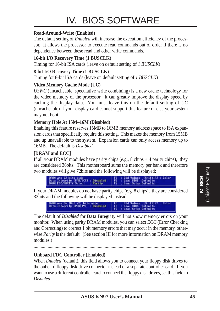#### **Read-Around-Write (Enabled)**

The default setting of *Enabled* will increase the execution efficiency of the processor. It allows the processor to execute read commands out of order if there is no dependence between these read and other write commands.

#### **16-bit I/O Recovery Time (1 BUSCLK)**

Timing for 16-bit ISA cards (leave on default setting of *1 BUSCLK*)

#### **8-bit I/O Recovery Time (1 BUSCLK)**

Timing for 8-bit ISA cards (leave on default setting of *1 BUSCLK*)

#### **Video Memory Cache Mode (UC)**

*USWC* (uncacheable, speculative write combining) is a new cache technology for the video memory of the processor. It can greatly improve the display speed by caching the display data. You must leave this on the default setting of *UC* (uncacheable) if your display card cannot support this feature or else your system may not boot.

#### **Memory Hole At 15M–16M (Disabled)**

Enabling this feature reserves 15MB to 16MB memory address space to ISA expansion cards that specifically require this setting. This makes the memory from 15MB and up unavailable to the system. Expansion cards can only access memory up to 16MB. The default is *Disabled*.

#### **[DRAM and ECC]**

If all your DRAM modules have parity chips (e.g., 8 chips  $+$  4 parity chips), they are considered 36bits. This motherboard sums the memory per bank and therefore two modules will give 72bits and the following will be displayed:



If your DRAM modules do not have parity chips (e.g. 8 chips), they are considered 32bits and the following will be displayed instead:



The default of *Disabled* for **Data Integrity** will not show memory errors on your monitor. When using parity DRAM modules, you can select *ECC* (Error Checking and Correcting) to correct 1 bit memory errors that may occur in the memory, otherwise *Parity* is the default. (See section III for more information on DRAM memory modules.)

....................................................................................................................................

#### **Onboard FDC Controller (Enabled)**

When *Enabled* (default), this field allows you to connect your floppy disk drives to the onboard floppy disk drive connector instead of a separate controller card. If you want to use a different controller card to connect the floppy disk drives, set this field to *Disabled*.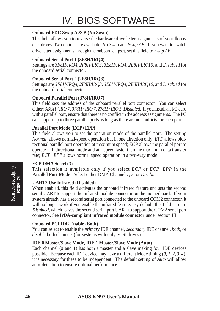#### **Onboard FDC Swap A & B (No Swap)**

This field allows you to reverse the hardware drive letter assignments of your floppy disk drives. Two options are available: *No Swap* and *Swap AB*. If you want to switch drive letter assignments through the onboard chipset, set this field to *Swap AB*.

#### **Onboard Serial Port 1 (3F8H/IRQ4)**

Settings are *3F8H/IRQ4*, *2F8H/IRQ3, 3E8H/IRQ4, 2E8H/IRQ10,* and *Disabled* for the onboard serial connector.

#### **Onboard Serial Port 2 (2F8H/IRQ3)**

Settings are *3F8H/IRQ4, 2F8H/IRQ3*, *3E8H/IRQ4, 2E8H/IRQ10,* and *Disabled* for the onboard serial connector.

#### **Onboard Parallel Port (378H/IRQ7)**

This field sets the address of the onboard parallel port connector. You can select either: *3BCH / IRQ 7, 378H / IRQ 7, 278H / IRQ 5, Disabled.* If you install an I/O card with a parallel port, ensure that there is no conflict in the address assignments. The PC can support up to three parallel ports as long as there are no conflicts for each port.

#### **Parallel Port Mode (ECP+EPP)**

This field allows you to set the operation mode of the parallel port. The setting *Normal*, allows normal-speed operation but in one direction only; *EPP* allows bidirectional parallel port operation at maximum speed; *ECP* allows the parallel port to operate in bidirectional mode and at a speed faster than the maximum data transfer rate; *ECP+EPP* allows normal speed operation in a two-way mode.

#### **ECP DMA Select (3)**

This selection is available only if you select *ECP* or *ECP+EPP* in the **Parallel Port Mode**. Select either DMA Channel *1, 3*, or *Disable*.

#### **UART2 Use Infrared (Disabled)**

When enabled, this field activates the onboard infrared feature and sets the second serial UART to support the infrared module connector on the motherboard. If your system already has a second serial port connected to the onboard COM2 connector, it will no longer work if you enable the infrared feature. By default, this field is set to *Disabled*, which leaves the second serial port UART to support the COM2 serial port connector. See **IrDA-compliant infrared module connector** under section III**.**

#### **Onboard PCI IDE Enable (Both)**

You can select to enable the *primary* IDE channel, *secondary* IDE channel, *both*, or *disable* both channels (for systems with only SCSI drives).

#### **IDE 0 Master/Slave Mode, IDE 1 Master/Slave Mode (Auto)**

Each channel (0 and 1) has both a master and a slave making four IDE devices possible. Because each IDE device may have a different Mode timing (*0, 1, 2, 3, 4*), it is necessary for these to be independent. The default setting of *Auto* will allow auto-detection to ensure optimal performance.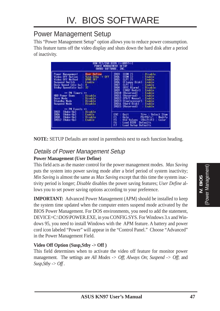## Power Management Setup

This "Power Management Setup" option allows you to reduce power consumption. This feature turns off the video display and shuts down the hard disk after a period of inactivity.

| POMER MANAGEMENT SETUP                                                                                                                                                                                                                                                                                                                                                                                                                                                                                                               | <b>LCOUNTED</b>                                                                                                                                                                                                                                                                                                                                                                                                                                                                                                                                                                               |
|--------------------------------------------------------------------------------------------------------------------------------------------------------------------------------------------------------------------------------------------------------------------------------------------------------------------------------------------------------------------------------------------------------------------------------------------------------------------------------------------------------------------------------------|-----------------------------------------------------------------------------------------------------------------------------------------------------------------------------------------------------------------------------------------------------------------------------------------------------------------------------------------------------------------------------------------------------------------------------------------------------------------------------------------------------------------------------------------------------------------------------------------------|
| ANARD SOFTWARE, INC.                                                                                                                                                                                                                                                                                                                                                                                                                                                                                                                 | <b>BHIS</b>                                                                                                                                                                                                                                                                                                                                                                                                                                                                                                                                                                                   |
| User Define<br><b>Power Management</b><br>Susp. Sthe - DFF<br>Video Off Dation<br>Video Off Nethod<br><b>TIPMS OFF</b><br>Suspend Switch<br>Enable-<br><b>Doze Speed (div hy):</b><br><b>H</b> Maria<br>Sidby Speed(div bul:<br>92.<br>** PM Timors<br>HDD Power Down<br>llisable<br>Doze Node<br>Disable<br>Standby Node<br>Disable<br>Suspend Node<br><b>Disable</b><br>** PM Events<br>$\frac{1000}{1000}$<br>(Make-Up)<br><b>Disable</b><br>(Wake-Up)<br>Enable<br>(Wake-Up) :<br><b>Disable</b><br>IR012<br>(Make-Un)<br>Enable | 1903<br>(COM 2)<br><b>Uisable</b><br>(CDM 1)<br>(LPT 2)<br>国語語<br>Enable<br>Enable<br>(Floppy Disk):<br>Enable<br>(UFI 1)<br>Enable<br><b>IROS</b><br>(RTC Alarm)<br>Disable<br>(IRO2 Redir)<br>Enable<br>IR010<br>Reserved)<br>Enable<br>19011<br>Enable<br><b>Reserved</b><br>IR012<br>(PS/2 Mouse)<br>Enable<br>IR013<br>Enable<br>(Coprocessor):<br>IR014<br>(Mard Disk)<br>Enable<br>Enahle<br>(Reserved)<br>IR015<br>ESC<br>Time : Select Item<br>$0$ uit<br>日時時<br>Help.<br>PU/PD/+/- Modify<br>Old Values (Shift)F2 :<br><b>Color</b><br>Lond BIOS<br>Defaults<br>Load Setup Defaults |

**NOTE:** SETUP Defaults are noted in parenthesis next to each function heading.

## Details of Power Management Setup

#### **Power Management (User Define)**

This field acts as the master control for the power management modes. *Max Saving* puts the system into power saving mode after a brief period of system inactivity; *Min Saving* is almost the same as *Max Saving* except that this time the system inactivity period is longer; *Disable* disables the power saving features; *User Define* allows you to set power saving options according to your preference.

**IMPORTANT:** Advanced Power Management (APM) should be installed to keep the system time updated when the computer enters suspend mode activated by the BIOS Power Management. For DOS environments, you need to add the statement, DEVICE=C:\DOS\POWER.EXE, in you CONFIG.SYS. For Windows 3.x and Windows 95, you need to install Windows with the APM feature. A battery and power cord icon labeled "Power" will appear in the "Control Panel." Choose "Advanced" in the Power Management Field.

#### **Video Off Option (Susp,Stby -> Off )**

This field determines when to activate the video off feature for monitor power management. The settings are *All Modes -> Off*; *Always On*; *Suspend -> Off*; and *Susp,Stby -> Off .*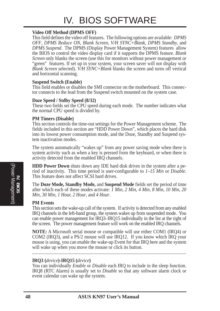#### **Video Off Method (DPMS OFF)**

This field defines the video off features. The following options are available: *DPMS OFF*, *DPMS Reduce ON*, *Blank Screen*, *V/H SYNC+Blank, DPMS Standby,* and *DPMS Suspend*. The DPMS (Display Power Management System) features allow the BIOS to control the video display card if it supports the DPMS feature. *Blank Screen* only blanks the screen (use this for monitors without power management or "green" features. If set up in your system, your screen saver will not display with *Blank Screen* selected). *V/H SYNC+Blank* blanks the screen and turns off vertical and horizontal scanning.

#### **Suspend Switch (Enable)**

This field enables or disables the SMI connector on the motherboard. This connector connects to the lead from the Suspend switch mounted on the system case.

#### **Doze Speed / Stdby Speed (8/32)**

These two fields set the CPU speed during each mode. The number indicates what the normal CPU speed is divided by.

#### **PM Timers (Disable)**

This section controls the time-out settings for the Power Management scheme. The fields included in this section are "HDD Power Down", which places the hard disk into its lowest power consumption mode, and the Doze, Standby and Suspend system inactivation modes.

The system automatically "wakes up" from any power saving mode when there is system activity such as when a key is pressed from the keyboard, or when there is activity detected from the enabled IRQ channels.

**HDD Power Down** shuts down any IDE hard disk drives in the system after a period of inactivity. This time period is user-configurable to *1–15 Min* or *Disable*. This feature does not affect SCSI hard drives.

The **Doze Mode, Standby Mode,** and **Suspend Mode** fields set the period of time after which each of these modes activate: *1 Min*, *2 Min*, *4 Min*, *8 Min*, *10 Min*, *20 Min*, *30 Min*, *1 Hour, 2 Hour*, and *4 Hour*.

#### **PM Events**

This section sets the wake-up call of the system. If activity is detected from any enabled IRQ channels in the left-hand group, the system wakes up from suspended mode. You can enable power management for IRQ3–IRQ15 individually in the list at the right of the screen. The power management feature will work on the enabled IRQ channels.

**NOTE:** A Microsoft serial mouse or compatible will use either COM1 (IRQ4) or COM2 (IRQ3), and a PS/2 mouse will use IRQ12. If you know which IRQ your mouse is using, you can enable the wake-up Event for that IRQ here and the system will wake up when you move the mouse or click its button.

.......................................................................................................................................

#### **IRQ3 (***device***)-IRQ15 (***device***)**

You can individually *Enable* or *Disable* each IRQ to include in the sleep function. IRQ8 (RTC Alarm) is usually set to *Disable* so that any software alarm clock or event calendar can wake up the system.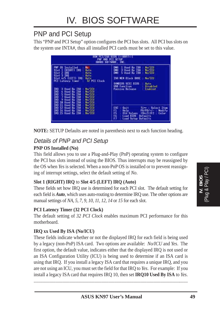## PNP and PCI Setup

This "PNP and PCI Setup" option configures the PCI bus slots. All PCI bus slots on the system use INTA#, thus all installed PCI cards must be set to this value.

| PNP AND PCI SETUP                                                                                                                                                                                                                                                                                                                                                                                                                             | HUM PC1/15A B1OS (< <rn97>)1<br/>AWARD SOFTWARE, INC.</rn97>                                                                                                                                                                                                 |
|-----------------------------------------------------------------------------------------------------------------------------------------------------------------------------------------------------------------------------------------------------------------------------------------------------------------------------------------------------------------------------------------------------------------------------------------------|--------------------------------------------------------------------------------------------------------------------------------------------------------------------------------------------------------------------------------------------------------------|
| PNP OS<br>Installed<br>No<br>(RIGHT) IRD<br>$S$ lot $\perp$<br><b>Huto</b><br>Slot 2 IRD<br><b>Hutu</b><br>Slot 3 IRO<br>Huto<br>Sint A/5 (LEFT) IRO:<br>Butu<br><b>PCI Latency Timer</b><br>32 PCI Clock<br>190<br>3 Used By ISR<br>No/TED<br>IR)<br>4 Used By ISB<br>No./ LCD<br>翳<br>5 Used Bo ISA<br>No/TCU<br>No/TCU<br>7 Used By ISA<br>9 Ilsed Bu<br><b>TSA</b><br><b>No. TCH</b><br>IRO<br><b>ISR</b><br>No. ICU<br>iro<br>10 Used By | No/TED<br>1 Used By ISB<br>UMH<br>DMA<br>3 Used By ISB<br>No/TEU<br>DMA<br>No/IEU<br>5 Used By ISB<br><b>BoZECU</b><br><b>ISA MEM Block BRSE</b><br>SVMBIOS SCSI BIOS<br><b>Ruto</b><br><b>USB Function</b><br><b>Bisabled</b><br>Passive Nelsase<br>Enabled |
| No/TCU<br>IRO 11 Used Bu ISA<br><b>ISB</b><br>No/ICU<br>IRO 12 Used Bu<br>180 14 Used By<br><b>ISB</b><br>No/TCU<br>IRO 15 Used By ISA<br>No/ICU                                                                                                                                                                                                                                                                                              | ESC<br>Time : Select Item<br>Oui 1<br>Fl<br>PU/PD/+/+  <br>Help<br>Modify<br>F5<br>(Shift)F2<br><b>Old Values</b><br>Color<br>56<br>Lond BIOS<br>Defaults.<br>F7<br>Lond Setup Defaults                                                                      |



#### Details of PNP and PCI Setup **PNP OS Installed (No)**

This field allows you to use a Plug-and-Play (PnP) operating system to configure the PCI bus slots instead of using the BIOS. Thus interrupts may be reassigned by the OS when *Yes* is selected. When a non-PnP OS is installed or to prevent reassigning of interrupt settings, select the default setting of *No*.

#### **Slot 1 (RIGHT) IRQ** to **Slot 4/5 (LEFT) IRQ (Auto)**

These fields set how IRQ use is determined for each PCI slot. The default setting for each field is *Auto*, which uses auto-routing to determine IRQ use. The other options are manual settings of *NA, 5, 7, 9, 10, 11, 12, 14* or *15* for each slot.

#### **PCI Latency Timer (32 PCI Clock)**

The default setting of *32 PCI Clock* enables maximum PCI performance for this motherboard.

#### **IRQ xx Used By ISA (No/ICU)**

These fields indicate whether or not the displayed IRQ for each field is being used by a legacy (non-PnP) ISA card. Two options are available: *No/ICU* and *Yes*. The first option, the default value, indicates either that the displayed IRQ is not used or an ISA Configuration Utility (ICU) is being used to determine if an ISA card is using that IRQ. If you install a legacy ISA card that requires a unique IRQ, and you are not using an ICU, you must set the field for that IRQ to *Yes*. For example: If you install a legacy ISA card that requires IRQ 10, then set **IRQ10 Used By ISA** to *Yes*.

......................................................................................................................................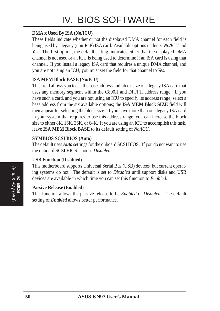# IV. BIOS SOFTWARE

#### **DMA x Used By ISA (No/ICU)**

These fields indicate whether or not the displayed DMA channel for each field is being used by a legacy (non-PnP) ISA card. Available options include: *No/ICU* and *Yes*. The first option, the default setting, indicates either that the displayed DMA channel is not used or an ICU is being used to determine if an ISA card is using that channel. If you install a legacy ISA card that requires a unique DMA channel, and you are not using an ICU, you must set the field for that channel to *Yes*.

#### **ISA MEM Block BASE (No/ICU)**

This field allows you to set the base address and block size of a legacy ISA card that uses any memory segment within the C800H and DFFFH address range. If you have such a card, and you are not using an ICU to specify its address range, select a base address from the six available options; the **ISA MEM Block SIZE** field will then appear for selecting the block size. If you have more than one legacy ISA card in your system that requires to use this address range, you can increase the block size to either 8K, 16K, 36K, or 64K. If you are using an ICU to accomplish this task, leave **ISA MEM Block BASE** to its default setting of *No/ICU*.

#### **SYMBIOS SCSI BIOS (Auto)**

The default uses *Auto* settings for the onboard SCSI BIOS. If you do not want to use the onboard SCSI BIOS, choose *Disabled*

#### **USB Function (Disabled)**

This motherboard supports Universal Serial Bus (USB) devices but current operating systems do not. The default is set to *Disabled* until support disks and USB devices are available in which time you can set this function to *Enabled*.

#### **Passive Release (Enabled)**

This function allows the passive release to be *Enabled* or *Disabled*. The default setting of *Enabled* allows better performance.

(Plug & Play / PCI) **IV. BIOS**<br> **IV. BIOS**<br> **IV. BIOS**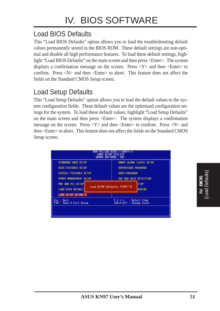## Load BIOS Defaults

This "Load BIOS Defaults" option allows you to load the troubleshooting default values permanently stored in the BIOS ROM. These default settings are non-optimal and disable all high performance features. To load these default settings, highlight "Load BIOS Defaults" on the main screen and then press <Enter>. The system displays a confirmation message on the screen. Press  $\langle Y \rangle$  and then  $\langle$ Enter $\rangle$  to confirm. Press <N> and then <Enter> to abort. This feature does not affect the fields on the Standard CMOS Setup screen.

## Load Setup Defaults

This "Load Setup Defaults" option allows you to load the default values to the system configuration fields. These default values are the optimized configuration settings for the system. To load these default values, highlight "Load Setup Defaults" on the main screen and then press <Enter>. The system displays a confirmation message on the screen. Press <Y> and then <Enter> to confirm. Press <N> and then <Enter> to abort. This feature does not affect the fields on the Standard CMOS Setup screen.

| STONDARD CHOS SETUP                           | SMORT DEARM (EN78) SETUP                       |
|-----------------------------------------------|------------------------------------------------|
| <b>BIOS FEATURES SETUP</b>                    | SUPERVISOR PASSHORD                            |
| CHIPSET FEATURES SETUP                        | <b>USER PRSSHOUD</b>                           |
| <b><i>POWER MRNAGEMENT SETUP</i></b>          | TOE HOD RUTO DETECTION                         |
| <b>PMP AND PCT SETUP</b>                      | <b>ETIP</b>                                    |
| LORD 810S DEFAULT                             | Load SETUP Defaults (V/N1? V                   |
| <b>LOOD SETUP DEFAULTS</b>                    | <b>SAVING</b>                                  |
| <b>Ouit</b><br>Esc<br>F10 : Savo & Exit Setup | <b>Select Item</b><br>(Shift)F2 : Change Color |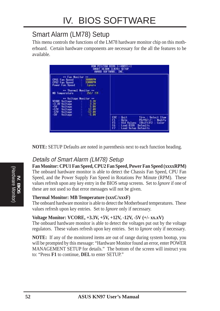## Smart Alarm (LM78) Setup

This menu controls the functions of the LM78 hardware monitor chip on this motherboard. Certain hardware components are necessary for the all the features to be available.

|                                                                                                                                                                                                                                                                     | HUM PCI/ISA BIOS (< <rn97>) <br/>SWART REARN (EN78) SETUP<br/>ANARD SOFTWARE, INC.</rn97>                                                                                           |
|---------------------------------------------------------------------------------------------------------------------------------------------------------------------------------------------------------------------------------------------------------------------|-------------------------------------------------------------------------------------------------------------------------------------------------------------------------------------|
| ** Fan Monitor<br>$\blacksquare$<br><b>3800RPM</b><br>CPU1 Fan Speed<br>33000PK<br>CPU2 Fan Speed<br>Power Fan Speed<br>Langra                                                                                                                                      |                                                                                                                                                                                     |
| -- Thermal Monitor --<br>2507 T/F<br>MB Temperature (2001)<br>** Voltage Monitor **<br>$\begin{array}{c} 3.39 \\ 3.39 \\ 5.12.09 \\ 12.09 \end{array}$<br><b>VCORE Voltage</b><br>-3.3V Voltage<br>$-50$<br>$-120$<br>$-30$<br>Voltage<br>Voltage<br><b>Voltage</b> |                                                                                                                                                                                     |
| $-5.09$<br>Voltage                                                                                                                                                                                                                                                  | ESC<br>Ti-+ : Select Item<br>$0$ uit<br>ក្នុង<br>PU/PD/+/-<br>Help <sup>1</sup><br>Modify<br>Old Values (Shift)F2 :<br>Color<br>Loud BIOS<br>Defaults.<br>F7<br>Load Setup Defaults |

**NOTE:** SETUP Defaults are noted in parenthesis next to each function heading.

### Details of Smart Alarm (LM78) Setup

**Fan Monitor: CPU1 Fan Speed, CPU2 Fan Speed, Power Fan Speed (xxxxRPM)** The onboard hardware monitor is able to detect the Chassis Fan Speed, CPU Fan Speed, and the Power Supply Fan Speed in Rotations Per Minute (RPM). These values refresh upon any key entry in the BIOS setup screens. Set to *Ignore* if one of these are not used so that error messages will not be given.

#### **Thermal Monitor: MB Temperature (xxxC/xxxF)**

The onboard hardware monitor is able to detect the Motherboard temperatures. These values refresh upon key entries. Set to *Ignore* only if necessary.

#### **Voltage Monitor: VCORE, +3.3V, +5V, +12V, -12V, -5V (+/- xx.xV)**

The onboard hardware monitor is able to detect the voltages put out by the voltage regulators. These values refresh upon key entries. Set to *Ignore* only if necessary.

**NOTE:** If any of the monitored items are out of range during system bootup, you will be prompted by this message: "Hardware Monitor found an error, enter POWER MANAGEMENT SETUP for details." The bottom of the screen will instruct you to: "Press **F1** to continue, **DEL** to enter SETUP."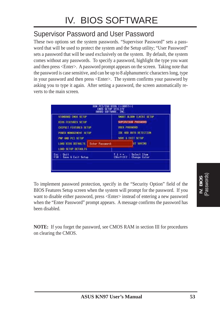## Supervisor Password and User Password

These two options set the system passwords. "Supervisor Password" sets a password that will be used to protect the system and the Setup utility; "User Password" sets a password that will be used exclusively on the system. By default, the system comes without any passwords. To specify a password, highlight the type you want and then press <Enter>. A password prompt appears on the screen. Taking note that the password is case sensitive, and can be up to 8 alphanumeric characters long, type in your password and then press <Enter>. The system confirms your password by asking you to type it again. After setting a password, the screen automatically reverts to the main screen.

|                                                                    | AWARD SOFTWARE, INC.     |
|--------------------------------------------------------------------|--------------------------|
| STONDARD CHOS SETUP                                                | SHORT DEARN (EN78) SETUP |
| <b>810S FEATURES SETUP</b>                                         | SUPERVISOR PRSSHORD      |
| CHIPSET FEATURES SETUP                                             | <b>USER PRSSHORD</b>     |
| <b><i>ROWER MANAGEMENT SETUP</i></b>                               | TOE HOD AUTO DETECTION   |
| FWP TIMO PCT SETUP                                                 | SAVE & EXIT SETUP        |
| LOAD BIOS DEFINITS<br><b>Enter Password</b><br>LOOD SETUP DEFAILER | <b>UT SAVING</b>         |
| <b>Ouit</b>                                                        | <b>Select Item</b>       |
| Save & Exit Setup                                                  | (Shift)F2 : Change Color |

To implement password protection, specify in the "Security Option" field of the BIOS Features Setup screen when the system will prompt for the password. If you want to disable either password, press <Enter> instead of entering a new password when the "Enter Password" prompt appears. A message confirms the password has been disabled.

**NOTE:** If you forget the password, see CMOS RAM in section III for procedures on clearing the CMOS.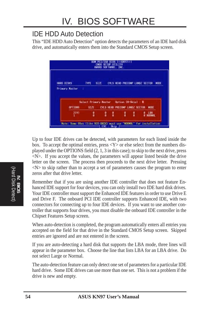## IDE HDD Auto Detection

This "IDE HDD Auto Detection" option detects the parameters of an IDE hard disk drive, and automatically enters them into the Standard CMOS Setup screen.



Up to four IDE drives can be detected, with parameters for each listed inside the box. To accept the optimal entries, press  $\langle Y \rangle$  or else select from the numbers displayed under the OPTIONS field (2, 1, 3 in this case); to skip to the next drive, press  $\langle N \rangle$ . If you accept the values, the parameters will appear listed beside the drive letter on the screen. The process then proceeds to the next drive letter. Pressing  $\langle N \rangle$  to skip rather than to accept a set of parameters causes the program to enter zeros after that drive letter.

Remember that if you are using another IDE controller that does not feature Enhanced IDE support for four devices, you can only install two IDE hard disk drives. Your IDE controller must support the Enhanced IDE features in order to use Drive E and Drive F. The onboard PCI IDE controller supports Enhanced IDE, with two connectors for connecting up to four IDE devices. If you want to use another controller that supports four drives, you must disable the onboard IDE controller in the Chipset Features Setup screen.

When auto-detection is completed, the program automatically enters all entries you accepted on the field for that drive in the Standard CMOS Setup screen. Skipped entries are ignored and are not entered in the screen.

If you are auto-detecting a hard disk that supports the LBA mode, three lines will appear in the parameter box. Choose the line that lists LBA for an LBA drive. Do not select Large or Normal.

The auto-detection feature can only detect one set of parameters for a particular IDE hard drive. Some IDE drives can use more than one set. This is not a problem if the drive is new and empty.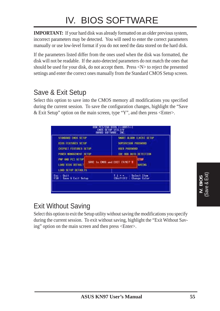# IV. BIOS SOFTWARE

**IMPORTANT:** If your hard disk was already formatted on an older previous system, incorrect parameters may be detected. You will need to enter the correct parameters manually or use low-level format if you do not need the data stored on the hard disk.

If the parameters listed differ from the ones used when the disk was formatted, the disk will not be readable. If the auto-detected parameters do not match the ones that should be used for your disk, do not accept them. Press <N> to reject the presented settings and enter the correct ones manually from the Standard CMOS Setup screen.

## Save & Exit Setup

Select this option to save into the CMOS memory all modifications you specified during the current session. To save the configuration changes, highlight the "Save & Exit Setup" option on the main screen, type "Y", and then press <Enter>.

| STONDARD CHOS SETUP<br><b>810S FEATURES SETUP</b><br>CHIPSET FEATURES SETUP<br><b>POWER MRNAGEMENT SETUP</b> | SMORT DEARM (EN78) SETUP.<br>SUPERVISOR PASSHORD<br><b>USER PASSHORD</b><br>TOE HOD AUTO DETECTION |  |  |
|--------------------------------------------------------------------------------------------------------------|----------------------------------------------------------------------------------------------------|--|--|
| PMP AND PCT SETUP<br>LORD 810S DEFAULT<br>LOOD SETUP DEFAILERS                                               | <b>ETUP</b><br>SRVE To CHOS and EXIT (V/N17 V<br><b>SAUTHE</b>                                     |  |  |
| <b>Ouit</b><br>Save & Exit Setup                                                                             | <b>Select Item</b><br>(Shift)F2 : Change Color                                                     |  |  |

## Exit Without Saving

Select this option to exit the Setup utility without saving the modifications you specify during the current session. To exit without saving, highlight the "Exit Without Saving" option on the main screen and then press <Enter>.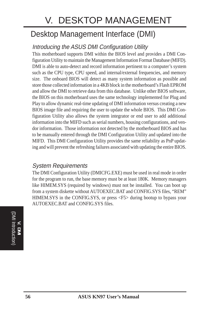# V. DESKTOP MANAGEMENT

# Desktop Management Interface (DMI)

## Introducing the ASUS DMI Configuration Utility

This motherboard supports DMI within the BIOS level and provides a DMI Configuration Utility to maintain the Management Information Format Database (MIFD). DMI is able to auto-detect and record information pertinent to a computer's system such as the CPU type, CPU speed, and internal/external frequencies, and memory size. The onboard BIOS will detect as many system information as possible and store those collected information in a 4KB block in the motherboard's Flash EPROM and allow the DMI to retrieve data from this database. Unlike other BIOS software, the BIOS on this motherboard uses the same technology implemented for Plug and Play to allow dynamic real-time updating of DMI information versus creating a new BIOS image file and requiring the user to update the whole BIOS. This DMI Configuration Utility also allows the system integrator or end user to add additional information into the MIFD such as serial numbers, housing configurations, and vendor information. Those information not detected by the motherboard BIOS and has to be manually entered through the DMI Configuration Utility and updated into the MIFD. This DMI Configuration Utility provides the same reliability as PnP updating and will prevent the refreshing failures associated with updating the entire BIOS.

### System Requirements

The DMI Configuration Utility (DMICFG.EXE) must be used in real mode in order for the program to run, the base memory must be at least 180K. Memory managers like HIMEM.SYS (required by windows) must not be installed. You can boot up from a system diskette without AUTOEXEC.BAT and CONFIG.SYS files, "REM" HIMEM.SYS in the CONFIG.SYS, or press <F5> during bootup to bypass your AUTOEXEC.BAT and CONFIG.SYS files.

(DMI Introduction (DMI Introduction) **V. DMI**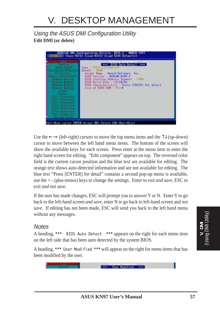### Using the ASUS DMI Configuration Utility **Edit DMI (or delete)**



Use the  $\leftarrow \rightarrow$  (left-right) cursors to move the top menu items and the  $\uparrow \downarrow$  (up-down) cursor to move between the left hand menu items. The bottom of the screen will show the available keys for each screen. Press enter at the menu item to enter the right hand screen for editing. "Edit component" appears on top. The reversed color field is the current cursor position and the blue text are available for editing. The orange text shows auto-detected information and are not available for editing. The blue text "Press [ENTER] for detail" contains a second pop-up menu is available, use the + - (plus-minus) keys to change the settings. Enter to exit *and save*, ESC to exit *and not save*.

If the user has made changes, ESC will prompt you to answer Y or N. Enter Y to go back to the left-hand screen *and save*, enter N to go back to left-hand screen and *not save*. If editing has not been made, ESC will send you back to the left hand menu without any messages.

#### **Notes**

A heading, \*\*\* BIOS Auto Detect \*\*\* appears on the right for each menu item on the left side that has been auto detected by the system BIOS.

A heading, \*\*\* User Modified \*\*\* will appear on the right for menu items that has been modified by the user.

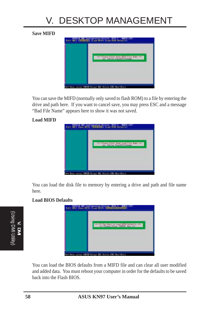# V. DESKTOP MANAGEMENT

#### **Save MIFD**



You can save the MIFD (normally only saved to flash ROM) to a file by entering the drive and path here. If you want to cancel save, you may press ESC and a message "Bad File Name" appears here to show it was not saved.

#### **Load MIFD**



You can load the disk file to memory by entering a drive and path and file name here.

#### **Load BIOS Defaults**



You can load the BIOS defaults from a MIFD file and can clear all user modified and added data. You must reboot your computer in order for the defaults to be saved back into the Flash BIOS.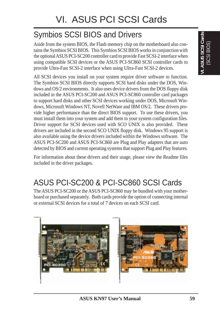# Symbios SCSI BIOS and Drivers

Aside from the system BIOS, the Flash memory chip on the motherboard also contains the Symbios SCSI BIOS. This Symbios SCSI BIOS works in conjunction with the optional ASUS PCI-SC200 controller card to provide Fast SCSI-2 interface when using compatible SCSI devices or the ASUS PCI-SC860 SCSI controller cards to provide Ultra-Fast SCSI-2 interface when using Ultra-Fast SCSI-2 devices.

All SCSI devices you install on your system require driver software to function. The Symbios SCSI BIOS directly supports SCSI hard disks under the DOS, Windows and OS/2 environments. It also uses device drivers from the DOS floppy disk included in the ASUS PCI-SC200 and ASUS PCI-SC860 controller card packages to support hard disks and other SCSI devices working under DOS, Microsoft Windows, Microsoft Windows NT, Novell NetWare and IBM OS/2. These drivers provide higher performance than the direct BIOS support. To use these drivers, you must install them into your system and add them to your system configuration files. Driver support for SCSI devices used with SCO UNIX is also provided. These drivers are included in the second SCO UNIX floppy disk. Windows 95 support is also available using the device drivers included within the Windows software. The ASUS PCI-SC200 and ASUS PCI-SC860 are Plug and Play adapters that are auto detected by BIOS and current operating systems that support Plug and Play features.

For information about these drivers and their usage, please view the Readme files included in the driver packages.

# ASUS PCI-SC200 & PCI-SC860 SCSI Cards

The ASUS PCI-SC200 or the ASUS PCI-SC860 may be bundled with your motherboard or purchased separately. Both cards provide the option of connecting internal or external SCSI devices for a total of 7 devices on each SCSI card.

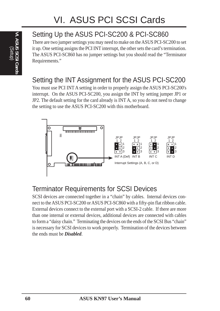# Setting Up the ASUS PCI-SC200 & PCI-SC860

There are two jumper settings you may need to make on the ASUS PCI-SC200 to set it up. One setting assigns the PCI INT interrupt, the other sets the card's termination. The ASUS PCI-SC860 has no jumper settings but you should read the "Terminator Requirements."

## Setting the INT Assignment for the ASUS PCI-SC200

You must use PCI INT A setting in order to properly assign the ASUS PCI-SC200's interrupt. On the ASUS PCI-SC200, you assign the INT by setting jumper JP1 or JP2. The default setting for the card already is INT A, so you do not need to change the setting to use the ASUS PCI-SC200 with this motherboard.



## Terminator Requirements for SCSI Devices

SCSI devices are connected together in a "chain" by cables. Internal devices connect to the ASUS PCI-SC200 or ASUS PCI-SC860 with a fifty-pin flat ribbon cable. External devices connect to the external port with a SCSI-2 cable. If there are more than one internal or external devices, additional devices are connected with cables to form a "daisy chain." Terminating the devices on the ends of the SCSI Bus "chain" is necessary for SCSI devices to work properly. Termination of the devices between the ends must be *Disabled*.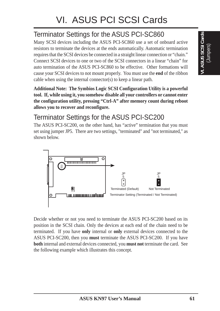## Terminator Settings for the ASUS PCI-SC860

Many SCSI devices including the ASUS PCI-SC860 use a set of onboard active resistors to terminate the devices at the ends automatically. Automatic termination requires that the SCSI devices be connected in a straight linear connection or "chain." Connect SCSI devices to one or two of the SCSI connectors in a linear "chain" for auto termination of the ASUS PCI-SC860 to be effective. Other formations will cause your SCSI devices to not mount properly. You must use the **end** of the ribbon cable when using the internal connector(s) to keep a linear path.

**Additional Note: The Symbios Logic SCSI Configuration Utility is a powerful tool. If, while using it, you somehow disable all your controllers or cannot enter the configuration utility, pressing "Ctrl-A" after memory count during reboot allows you to recover and reconfigure.**

## Terminator Settings for the ASUS PCI-SC200

The ASUS PCI-SC200, on the other hand, has "active" termination that you must set using jumper JP5. There are two settings, "terminated" and "not terminated," as shown below.



Decide whether or not you need to terminate the ASUS PCI-SC200 based on its position in the SCSI chain. Only the devices at each end of the chain need to be terminated. If you have **only** internal or **only** external devices connected to the ASUS PCI-SC200, then you **must** terminate the ASUS PCI-SC200. If you have **both** internal and external devices connected, you **must not** terminate the card. See the following example which illustrates this concept.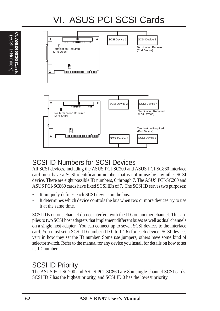# VI. ASUS PCI SCSI Cards



## SCSI ID Numbers for SCSI Devices

All SCSI devices, including the ASUS PCI-SC200 and ASUS PCI-SC860 interface card must have a SCSI identification number that is not in use by any other SCSI device. There are eight possible ID numbers, 0 through 7. The ASUS PCI-SC200 and ASUS PCI-SC860 cards have fixed SCSI IDs of 7. The SCSI ID serves two purposes:

- It uniquely defines each SCSI device on the bus.
- It determines which device controls the bus when two or more devices try to use it at the same time.

SCSI IDs on one channel do not interfere with the IDs on another channel. This applies to two SCSI host adapters that implement different buses as well as dual channels on a single host adapter. You can connect up to seven SCSI devices to the interface card. You must set a SCSI ID number (ID 0 to ID 6) for each device. SCSI devices vary in how they set the ID number. Some use jumpers, others have some kind of selector switch. Refer to the manual for any device you install for details on how to set its ID number.

## SCSI ID Priority

The ASUS PCI-SC200 and ASUS PCI-SC860 are 8bit single-channel SCSI cards. SCSI ID 7 has the highest priority, and SCSI ID 0 has the lowest priority.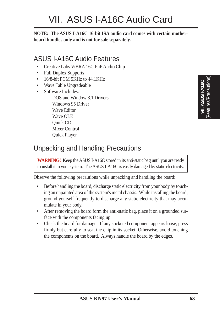**NOTE: The ASUS I-A16C 16-bit ISA audio card comes with certain motherboard bundles only and is not for sale separately.**

## ASUS I-A16C Audio Features

- Creative Labs ViBRA 16C PnP Audio Chip
- Full Duplex Supports
- 16/8-bit PCM 5KHz to 44.1KHz
- Wave Table Upgradeable
- Software Includes:

DOS and Window 3.1 Drivers Windows 95 Driver Wave Editor Wave OLE Quick CD Mixer Control Quick Player

# (Features/Precautions)**VII. ASUS I-A16C**  $.$  ASUS I-A16C

## Unpacking and Handling Precautions

**WARNING!**Keep the ASUS I-A16C stored in its anti-static bag until you are ready to install it in your system. The ASUS I-A16C is easily damaged by static electricity.

Observe the following precautions while unpacking and handling the board:

- Before handling the board, discharge static electricity from your body by touching an unpainted area of the system's metal chassis. While installing the board, ground yourself frequently to discharge any static electricity that may accumulate in your body.
- After removing the board form the anti-static bag, place it on a grounded surface with the components facing up.
- Check the board for damage. If any socketed component appears loose, press firmly but carefully to seat the chip in its socket. Otherwise, avoid touching the components on the board. Always handle the board by the edges.